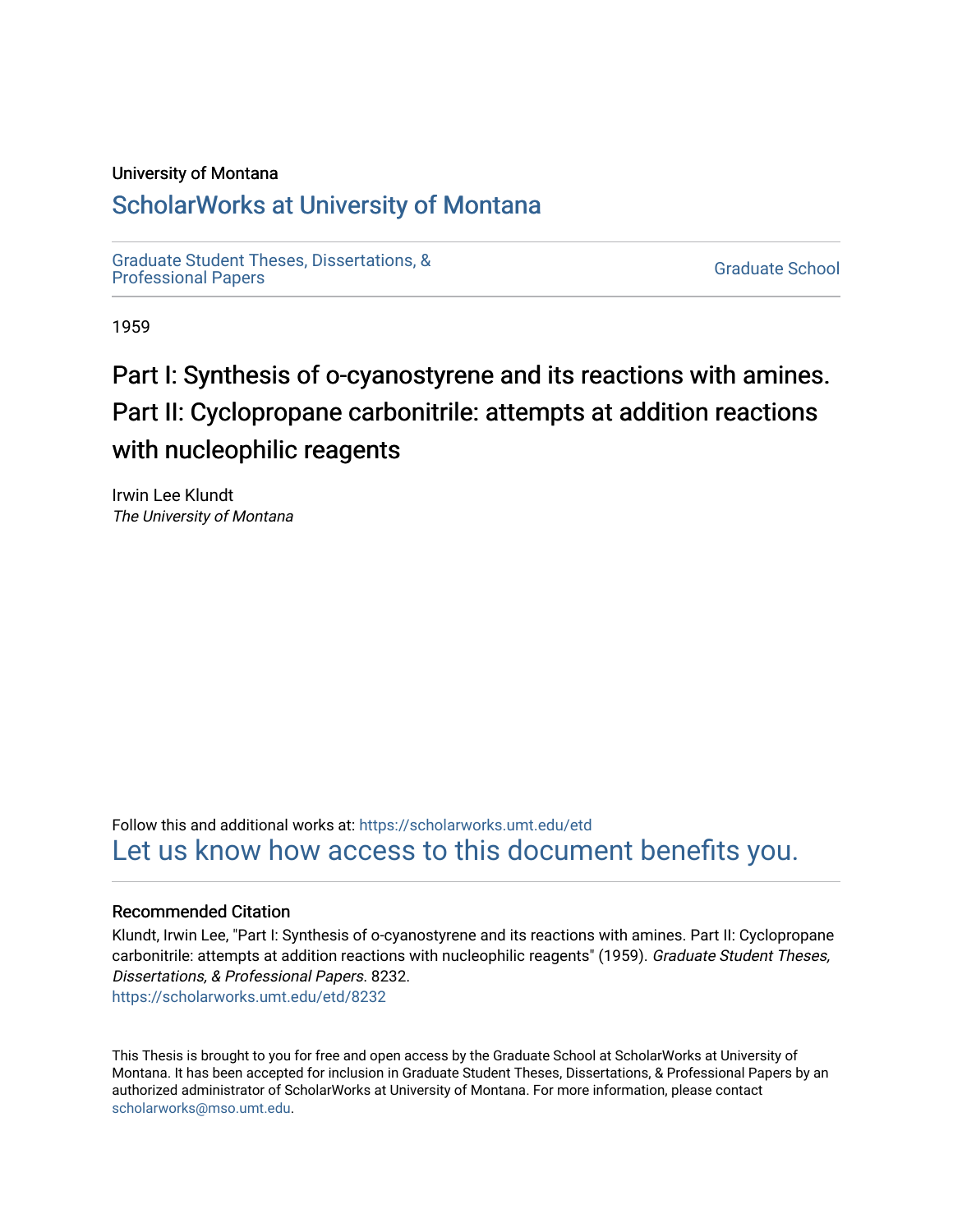## University of Montana

# [ScholarWorks at University of Montana](https://scholarworks.umt.edu/)

[Graduate Student Theses, Dissertations, &](https://scholarworks.umt.edu/etd) Graduate Student Theses, Dissertations, & Contract Control of the Graduate School [Professional Papers](https://scholarworks.umt.edu/etd) Contract Control of the Contract Control of the Contract Control of the Contract Contract Contract Control of the Contra

1959

# Part I: Synthesis of o-cyanostyrene and its reactions with amines. Part II: Cyclopropane carbonitrile: attempts at addition reactions with nucleophilic reagents

Irwin Lee Klundt The University of Montana

Follow this and additional works at: [https://scholarworks.umt.edu/etd](https://scholarworks.umt.edu/etd?utm_source=scholarworks.umt.edu%2Fetd%2F8232&utm_medium=PDF&utm_campaign=PDFCoverPages)  [Let us know how access to this document benefits you.](https://goo.gl/forms/s2rGfXOLzz71qgsB2) 

## Recommended Citation

Klundt, Irwin Lee, "Part I: Synthesis of o-cyanostyrene and its reactions with amines. Part II: Cyclopropane carbonitrile: attempts at addition reactions with nucleophilic reagents" (1959). Graduate Student Theses, Dissertations, & Professional Papers. 8232. [https://scholarworks.umt.edu/etd/8232](https://scholarworks.umt.edu/etd/8232?utm_source=scholarworks.umt.edu%2Fetd%2F8232&utm_medium=PDF&utm_campaign=PDFCoverPages)

This Thesis is brought to you for free and open access by the Graduate School at ScholarWorks at University of Montana. It has been accepted for inclusion in Graduate Student Theses, Dissertations, & Professional Papers by an authorized administrator of ScholarWorks at University of Montana. For more information, please contact [scholarworks@mso.umt.edu.](mailto:scholarworks@mso.umt.edu)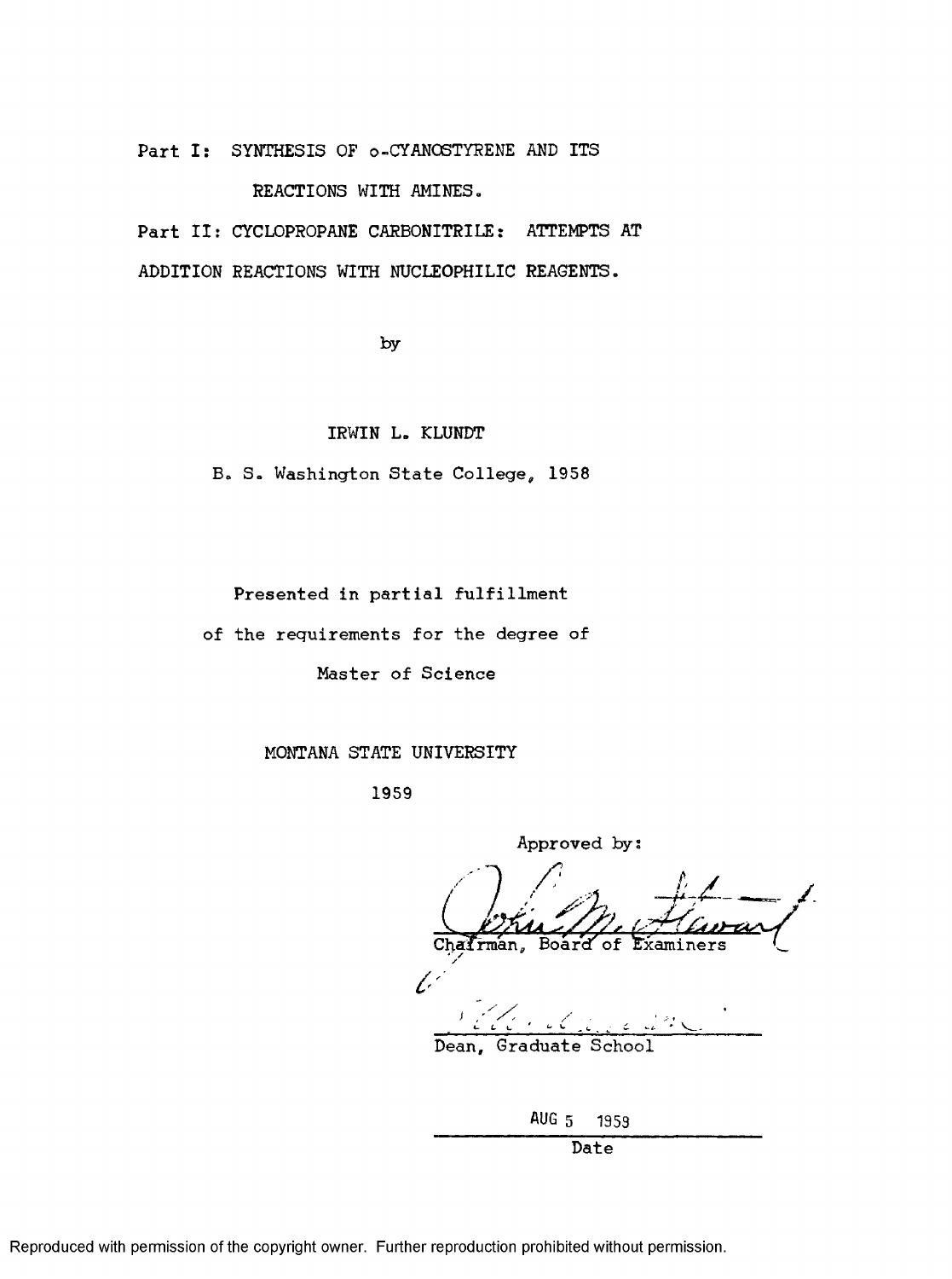Part I: SYNTHESIS OF o-CYANOSTYRENE AND ITS

REACTIONS WITH AMINES.

Part II: CYCLOPROPANE CARBONITRILE: ATTEMPTS AT ADDITION REACTIONS WITH NUCLEOPHILIC REAGENTS.

by

IRWIN L. KLUNDT

B. S. Washington State College, 1958

Presented in partial fulfillment

of the requirements for the degree of

Master of Science

MONTANA STATE UNIVERSITY

1959

Approved by: Chairman, Board of Examiners *c-*

Dean, Graduate

|      |  | AUG 5 1959 |
|------|--|------------|
| Date |  |            |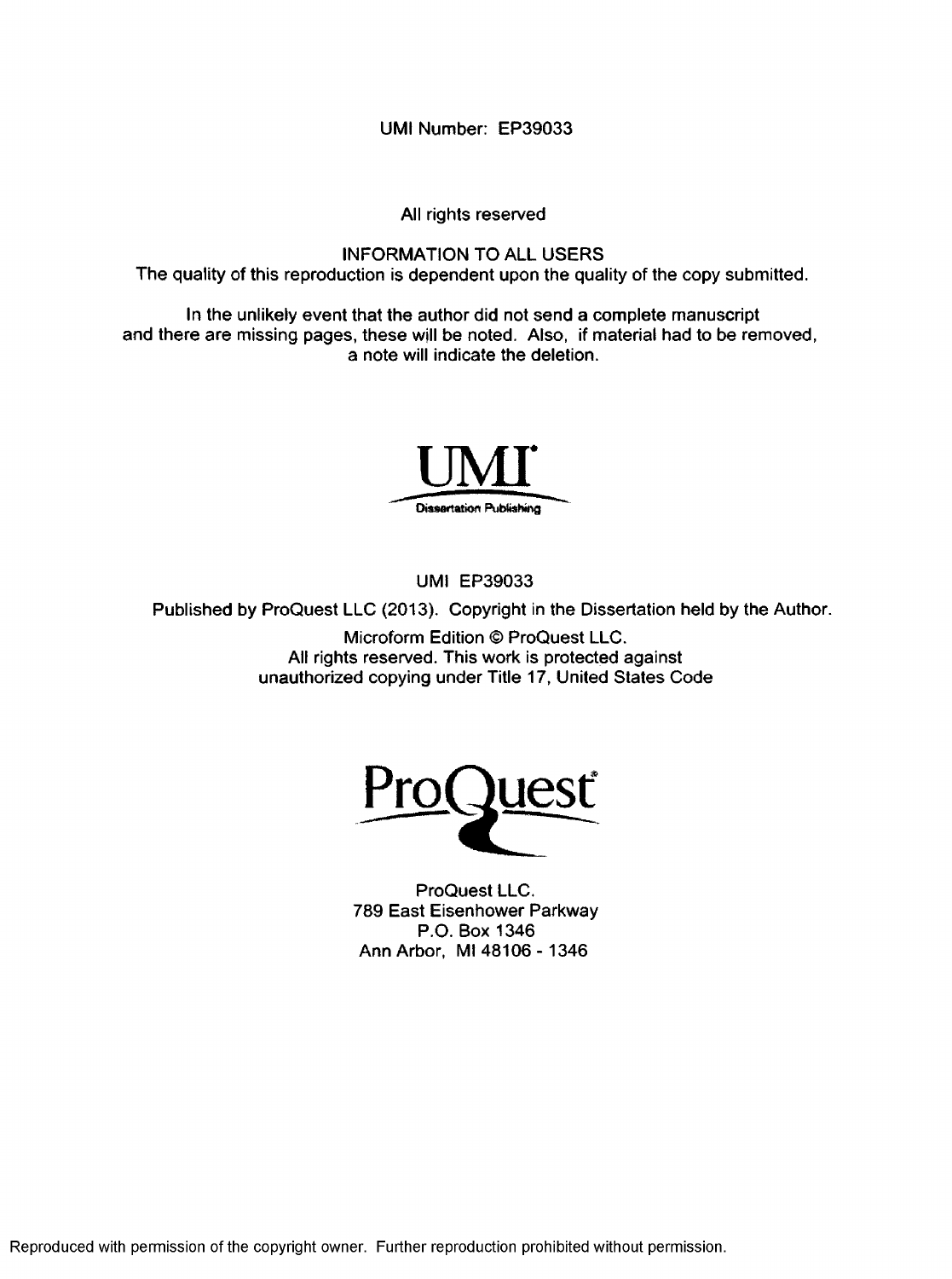**UMI Number: EP39033**

**All rights reserved**

**INFORMATION TO ALL USERS The quality of this reproduction is dependent upon the quality of the copy submitted.**

**In the unlikely event that the author did not send a complete manuscript and there are missing pages, these will be noted. Also, if material had to be removed, a note will indicate the deletion.**



**UMI EP39033**

**Published by ProQuest LLC (2013). Copyright in the Dissertation held by the Author.**

**Microform Edition © ProQuest LLC. All rights reserved. This work is protected against unauthorized copying under Title 17, United States Code**



**ProQuest LLC. 789 East Eisenhower Parkway P.O. Box 1346 Ann Arbor, Ml 48106 -1346**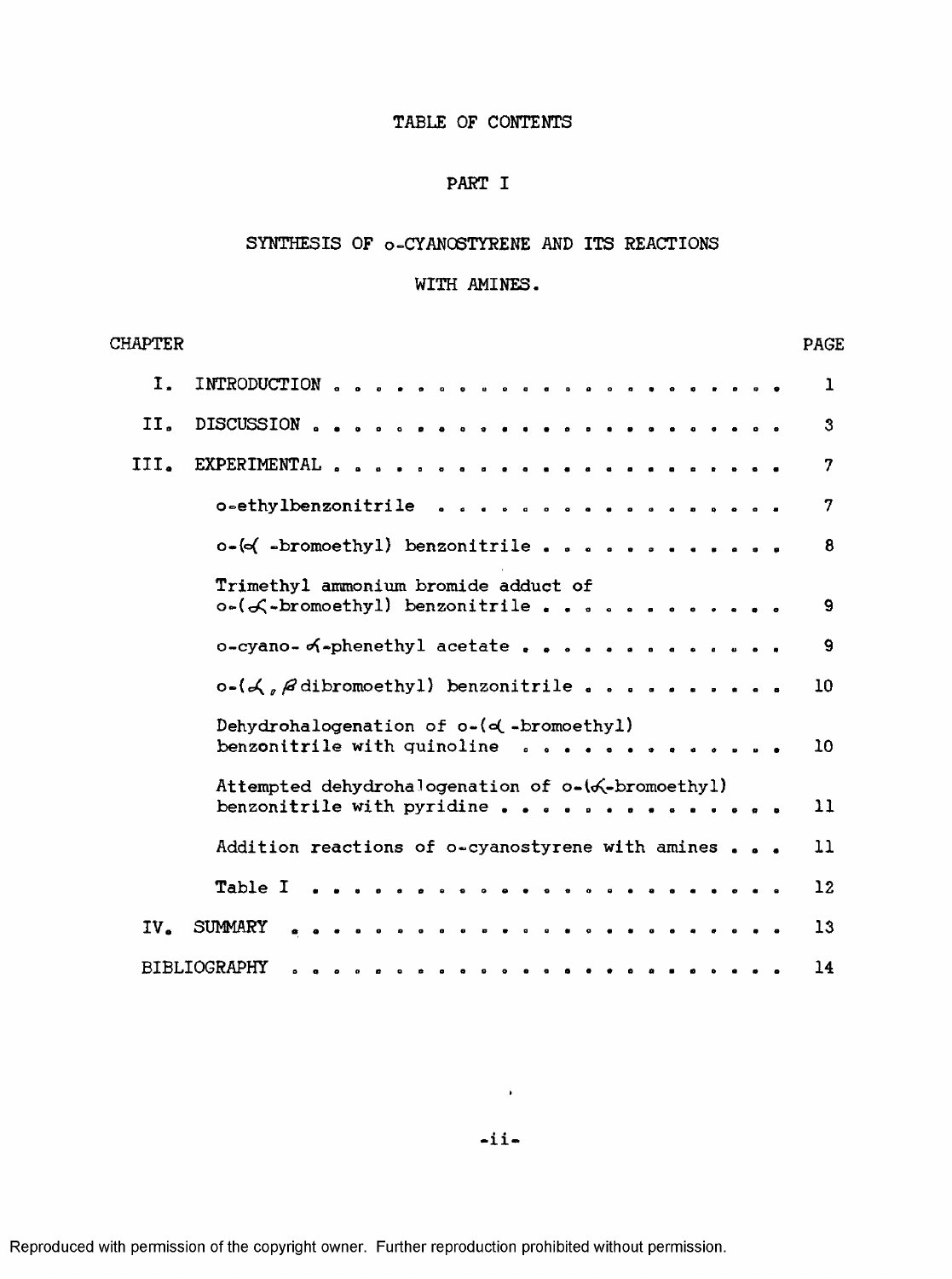## TABLE OF CONTENTS

## PART I

## SYNTHESIS OF o-CYANOSTYRENE AND ITS REACTIONS

## WITH AMINES.

| <b>CHAPTER</b>  |                                                                                                  | <b>PAGE</b>  |
|-----------------|--------------------------------------------------------------------------------------------------|--------------|
| Ι.              |                                                                                                  | 1            |
| II.             |                                                                                                  | $\mathbf{3}$ |
| III.            |                                                                                                  | 7            |
|                 | o-ethylbenzonitrile                                                                              | 7            |
|                 | $o \rightarrow \{o \mid \text{--bromoethyl}\}$ benzonitrile                                      | 8            |
|                 | Trimethyl ammonium bromide adduct of<br>o-(f-bromoethyl) benzonitrile                            | 9            |
|                 | o-cyano- of-phenethyl acetate                                                                    | 9            |
|                 | $o-(\mathcal{A}, \mathcal{A})$ dibromoethyl benzonitrile                                         | 10           |
|                 | Dehydrohalogenation of o-(o(-bromoethyl)<br>benzonitrile with quinoline<br>. . <b>.</b> <i>.</i> | 10           |
|                 | Attempted dehydrohalogenation of o-(6-bromoethyl)<br>benzonitrile with pyridine                  | $\mathbf{1}$ |
|                 | Addition reactions of o-cyanostyrene with amines                                                 | 11           |
|                 |                                                                                                  | $12 \,$      |
| IV <sub>z</sub> | SUMMARY                                                                                          | 13           |
|                 | <b>BIBLIOGRAPHY</b>                                                                              | 14           |

 $\sim 100$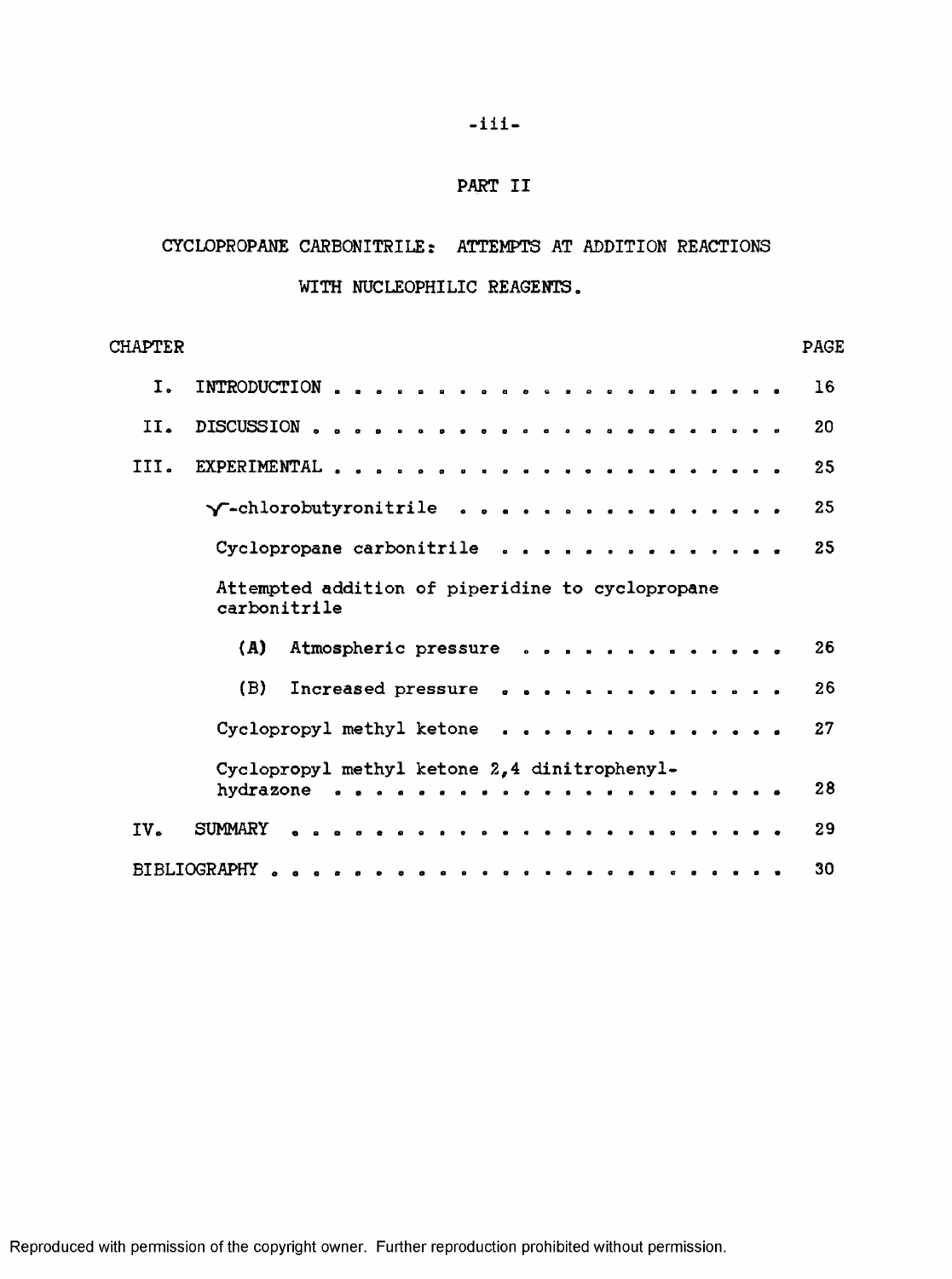## PART II

## CYCLOPROPANE CARBONITRILE: ATTEMPTS AT ADDITION REACTIONS

## WITH NUCLEOPHILIC REAGENTS.

| CHAPTER |                                                                  | <b>PAGE</b> |
|---------|------------------------------------------------------------------|-------------|
| Ι.      |                                                                  | 16          |
| II.     |                                                                  | 20          |
| III.    |                                                                  | 25          |
|         | $\gamma$ -chlorobutyronitrile                                    | 25          |
|         | Cyclopropane carbonitrile                                        | 25          |
|         | Attempted addition of piperidine to cyclopropane<br>carbonitrile |             |
|         | Atmospheric pressure<br>(A)                                      | 26          |
|         | (B)<br>Increased pressure                                        | 26          |
|         | Cyclopropyl methyl ketone                                        | 27          |
|         | Cyclopropyl methyl ketone 2,4 dinitrophenyl-                     |             |
|         |                                                                  | 28          |
| IV.     | SUMMARY                                                          | 29          |
|         |                                                                  | 30          |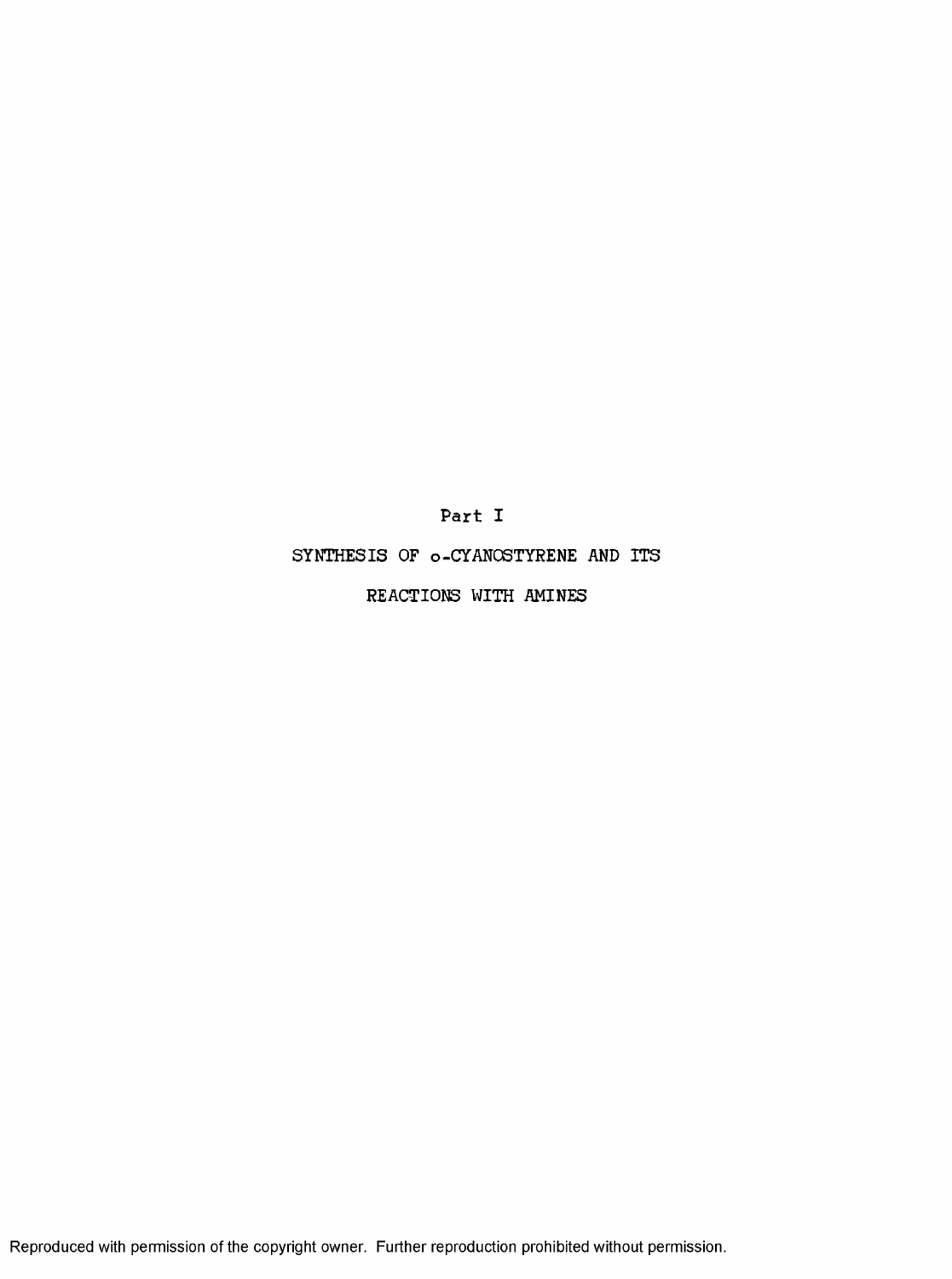Part I

SYNTHESIS OF o-CYANOSTYRENE AND ITS

REACTIONS WITH AMINES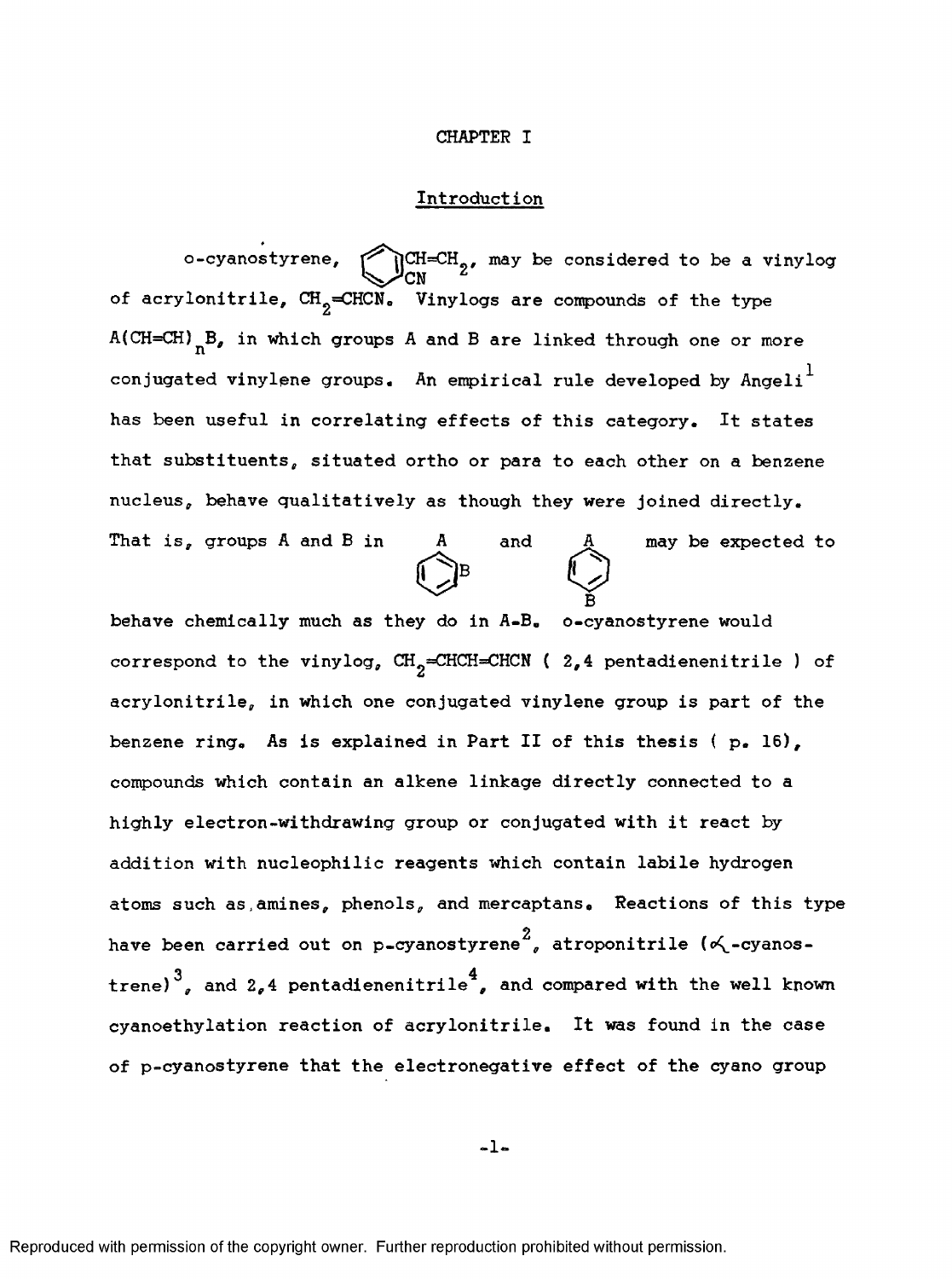## CHAPTER I

## Introduction

o-cyanostyrene,  $\bigotimes_{\text{CN}}^{\text{CH=CH}}$ <sub>2</sub>, may be considered to be a vinylog of acrylonitrile,  $\texttt{CH}_{2}$ =CHCN. Vinylogs are compounds of the type  $A(CH=CH)$ <sub>n</sub>B, in which groups A and B are linked through one or more conjugated vinylene groups. An empirical rule developed by Angeli $^{\mathrm{1}}$ has been useful in correlating effects of this category. It states that substituents, situated ortho or para to each other on a benzene nucleus, behave qualitatively as though they were joined directly. That is, groups A and B in  $A$  and  $A$  may be expected to  $\bigodot$  B

B behave chemically much as they do in A-B. o-cyanostyrene would correspond to the vinylog,  $CH_2=CHCH=CHCN$  (  $2,4$  pentadienenitrile ) of acrylonitrile, in which one conjugated vinylene group is part of the benzene ring. As is explained in Part II of this thesis ( p. 16), compounds which contain an alkene linkage directly connected to a highly electron-withdrawing group or conjugated with it react by addition with nucleophilic reagents which contain labile hydrogen atoms such as,amines, phenols, and mercaptans. Reactions of this type 2 have been carried out on p=cyanostyrene", atroponitrile ( $\propto$ -cyanostrene)  $3$ , and 2,4 pentadienenitrile<sup>4</sup>, and compared with the well known cyanoethylation reaction of acrylonitrile. It was found in the case of p-cyanostyrene that the electronegative effect of the cyano group

-1-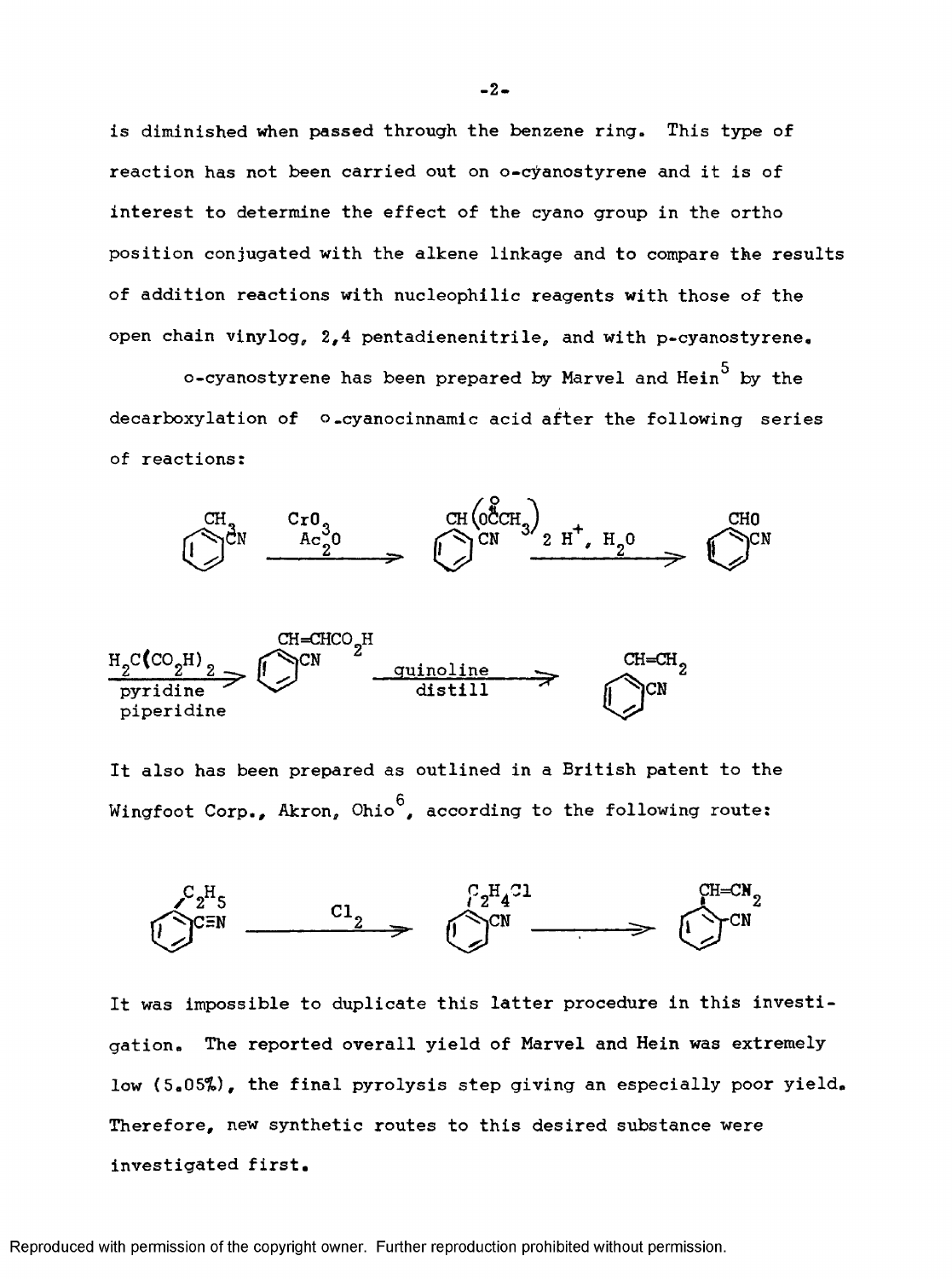is diminished when passed through the benzene ring. This type of reaction has not been carried out on o-cÿanostyrene and it is of interest to determine the effect of the cyano group in the ortho position conjugated with the alkene linkage and to compare the results of addition reactions with nucleophilic reagents with those of the open chain vinylog, 2,4 pentadienenitrile, and with p-cyanostyrene.

o-cyanostyrene has been prepared by Marvel and Hein $^5$  by the decarboxylation of o-cyanocinnamic acid after the following series of reactions:





It also has been prepared as outlined in a British patent to the Wingfoot Corp., Akron, Ohio<sup>6</sup>, according to the following route:



It was impossible to duplicate this latter procedure in this investigation. The reported overall yield of Marvel and Hein was extremely low (5.05%), the final pyrolysis step giving an especially poor yield. Therefore, new synthetic routes to this desired substance were investigated first.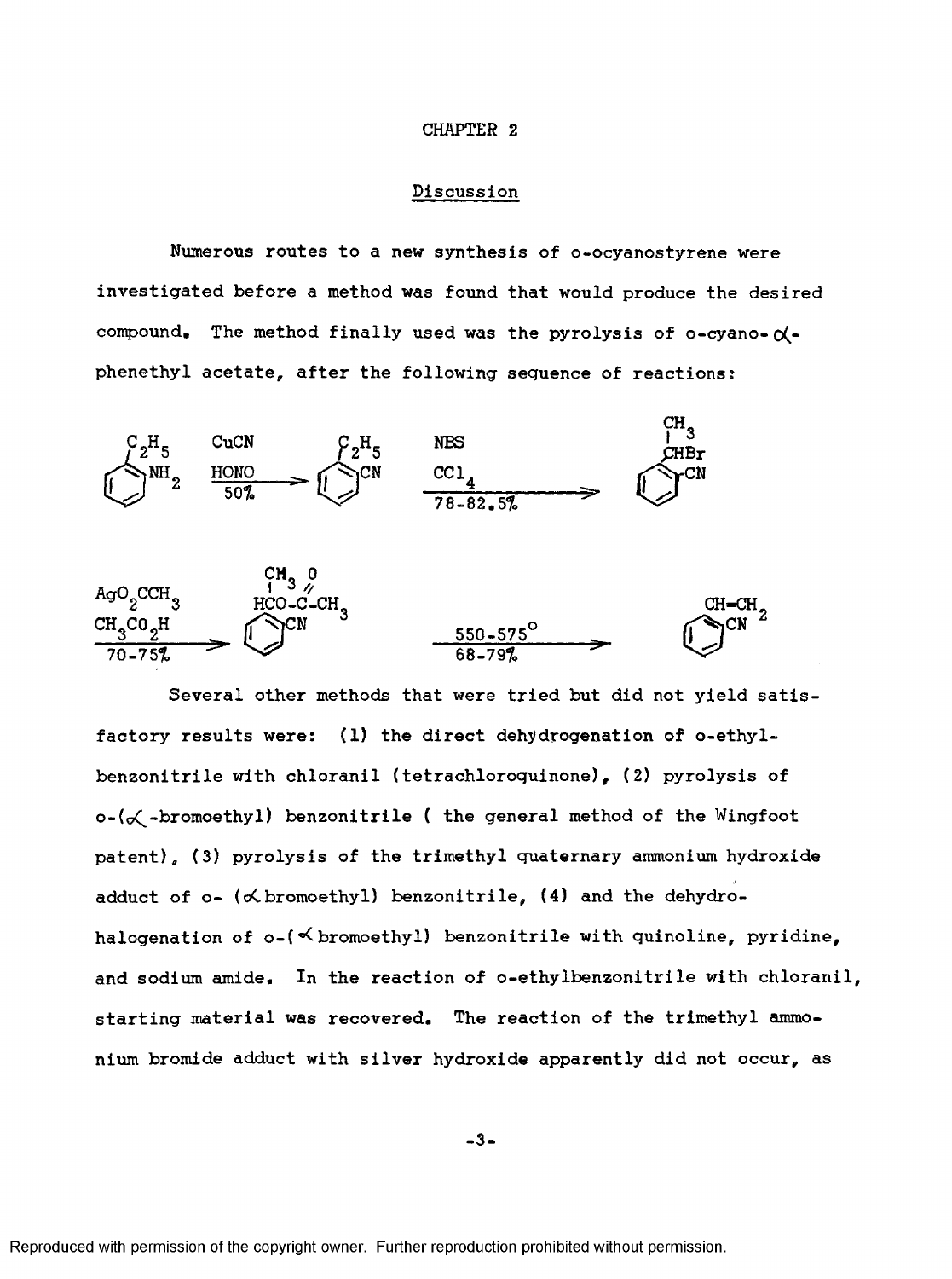#### **CHAPTER 2**

## Discussion

Numerous routes to a new synthesis of o-ocyanostyrene were investigated before a method was found that would produce the desired compound. The method finally used was the pyrolysis of o-cyano- $\alpha$ phenethyl acetate, after the following sequence of reactions:



Several other methods that were tried but did not yield satisfactory results were: (1) the direct dehydrogenation of o-ethylbenzonitrile with chloranil (tetrachloroquinone), (2) pyrolysis of  $o-(\mathcal{K}-b$ romoethyl) benzonitrile ( the general method of the Wingfoot patent), (3) pyrolysis of the trimethyl quaternary ammonium hydroxide adduct of  $o-$  ( $\preccurlyeq$  bromoethyl) benzonitrile, (4) and the dehydrohalogenation of  $o-(\prec b$ romoethyl) benzonitrile with quinoline, pyridine, and sodium amide. In the reaction of o-ethylbenzonitrile with chloranil, starting material was recovered. The reaction of the trimethyl ammonium bromide adduct with silver hydroxide apparently did not occur, as

 $-3-$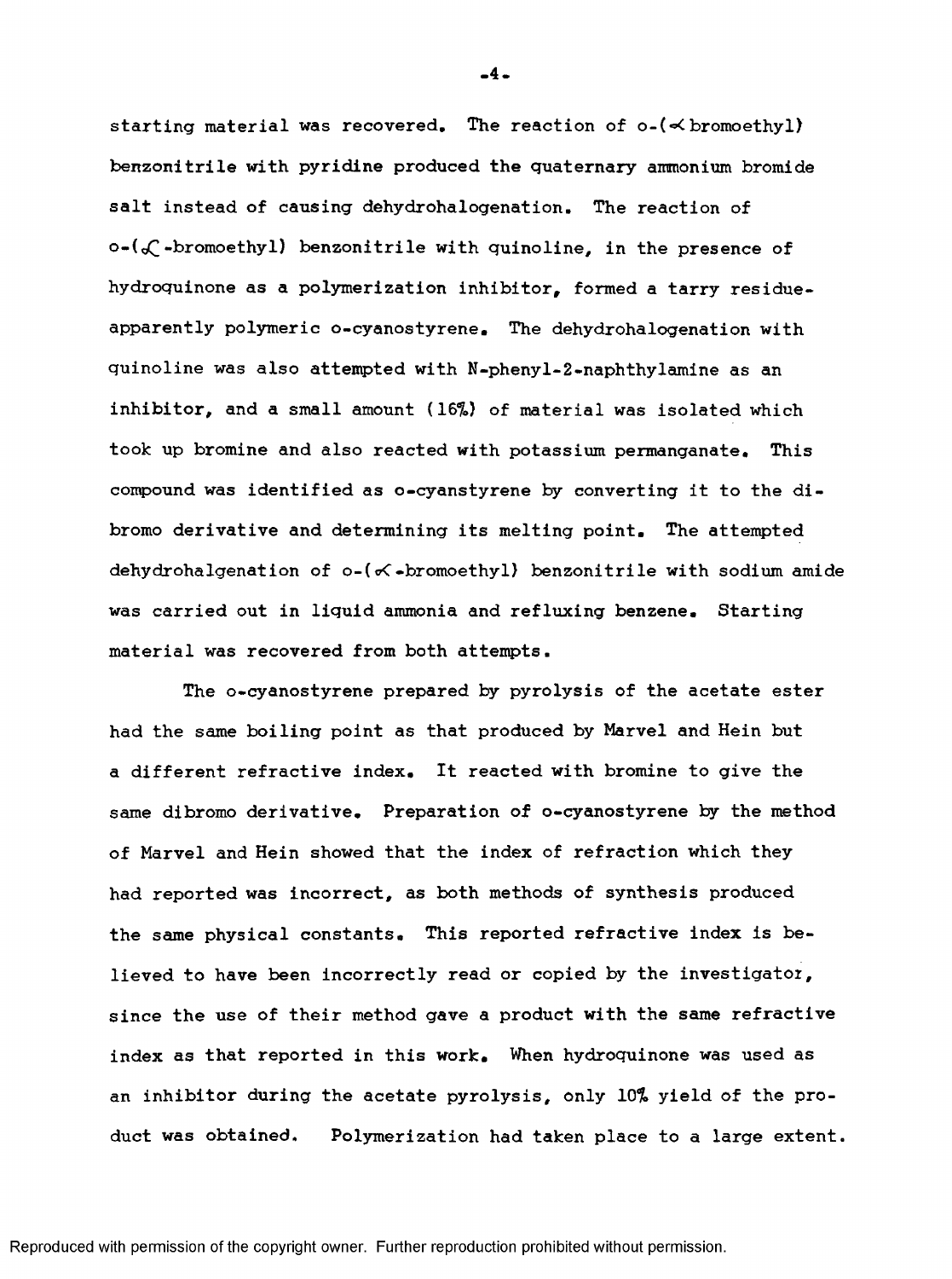starting material was recovered. The reaction of  $o-(\prec b$ romoethyl) benzonitrile with pyridine produced the quaternary ammonium bromide salt instead of causing dehydrohalogenation. The reaction of  $o-(\mathcal{L}-b$ romoethyl) benzonitrile with quinoline, in the presence of hydroquinone as a polymerization inhibitor, formed a tarry residueapparent ly polymeric o-cyanostyrene. The dehydrohalogenation with quinoline was also attempted with N-phenyl-2-naphthylamine as an inhibitor, and a small amount {16%) of material was isolated which took up bromine and also reacted with potassium permanganate. This compound was identified as o-cyanstyrene by converting it to the dibromo derivative and determining its melting point. The attempted dehydrohalgenation of  $o-(\prec-br$ omoethyl) benzonitrile with sodium amide was carried out in liquid ammonia and refluxing benzene. Starting material was recovered from both attempts.

The o-cyanostyrene prepared by pyrolysis of the acetate ester had the same boiling point as that produced by Marvel and Hein but a different refractive index. It reacted with bromine to give the same dibromo derivative. Preparation of o-cyanostyrene by the method of Marvel and Hein showed that the index of refraction which they had reported was incorrect, as both methods of synthesis produced the same physical constants. This reported refractive index is believed to have been incorrectly read or copied by the investigator, since the use of their method gave a product with the same refractive index as that reported in this work. When hydroquinone was used as an inhibitor during the acetate pyrolysis, only 10% yield of the product was obtained. Polymerization had taken place to a large extent.

**-4-**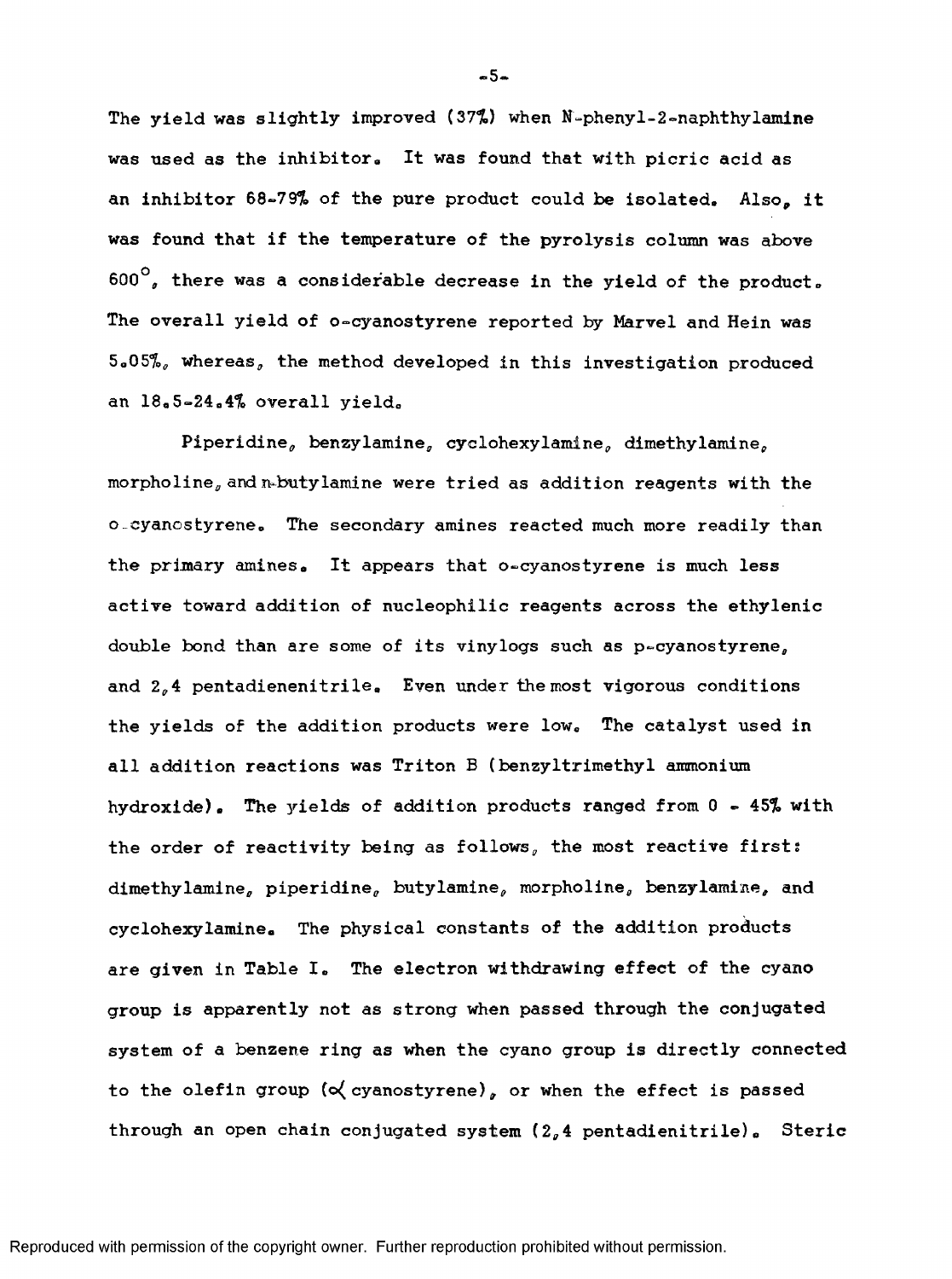The yield was slightly improved (37%) when N-phenyl-2»naphthylamine was used as the inhibitor. It was found that with picric acid as an inhibitor 68-79% of the pure product could be isolated. Also, it was found that if the temperature of the pyrolysis column was above  $600^\circ$ , there was a considerable decrease in the yield of the product. The overall yield of o-cyanostyrene reported by Marvel and Hein was 5.05%, whereas, the method developed in this investigation produced an 18.5-24.4% overall yield.

Piperidine, benzylamine, cyclohexylamine, dimethylamine, morpholine, and n-butylamine were tried as addition reagents with the o-cyanostyrene. The secondary amines reacted much more readily than the primary amines. It appears that o-cyanostyrene is much less active toward addition of nucleophilic reagents across the ethylenic double bond than are some of its vinylogs such as p-cyanostyrene, and  $2<sub>o</sub>4$  pentadienenitrile. Even under the most vigorous conditions the yields of the addition products were low. The catalyst used in all addition reactions was Triton B (benzyltrimethyl ammonium hydroxide). The yields of addition products ranged from 0 - 45% with the order of reactivity being as follows, the most reactive first: dimethylamine, piperidine, butylamine, morpholine, benzylamine, and cyclohexylamine. The physical constants of the addition products are given in Table I. The electron withdrawing effect of the cyano group is apparently not as strong when passed through the conjugated system of a benzene ring as when the cyano group is directly connected to the olefin group ( $\propto$  cyanostyrene), or when the effect is passed through an open chain conjugated system  $(2, 4$  pentadienitrile). Steric

**-5-**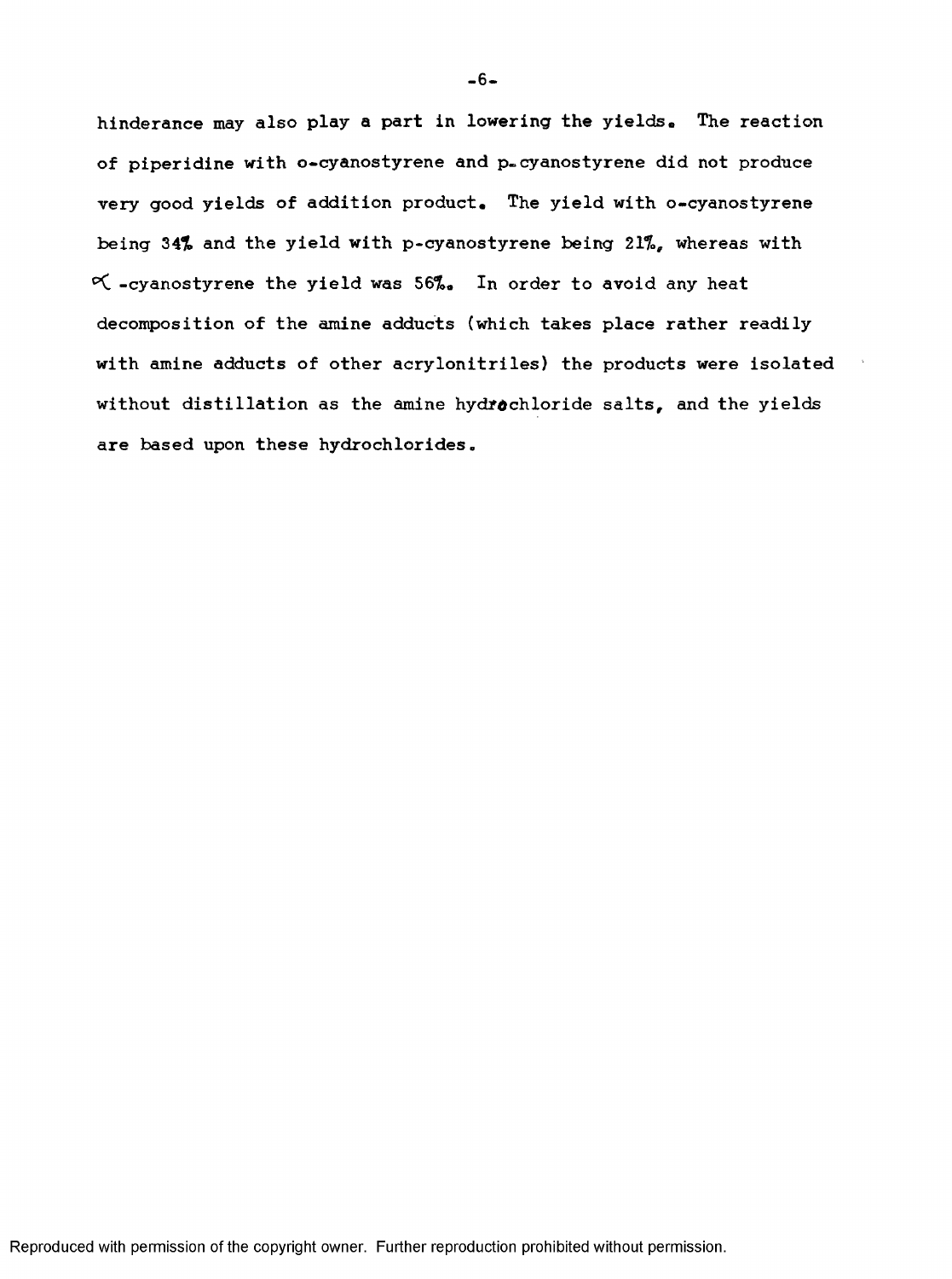hinderance may also play a part in lowering the yields. The reaction of piperidine with o-cyanostyrene and p-cyanostyrene did not produce very good yields of addition product. The yield with o-cyanostyrene being 34% and the yield with p-cyanostyrene being 21%, whereas with K. -cyanostyrene the yield was 56%, In order to avoid any heat decomposition of the amine adducts (which takes place rather readily with amine adducts of other acrylonitriles) the products were isolated without distillation as the amine hydrochloride salts, and the yields are based upon these hydrochlorides.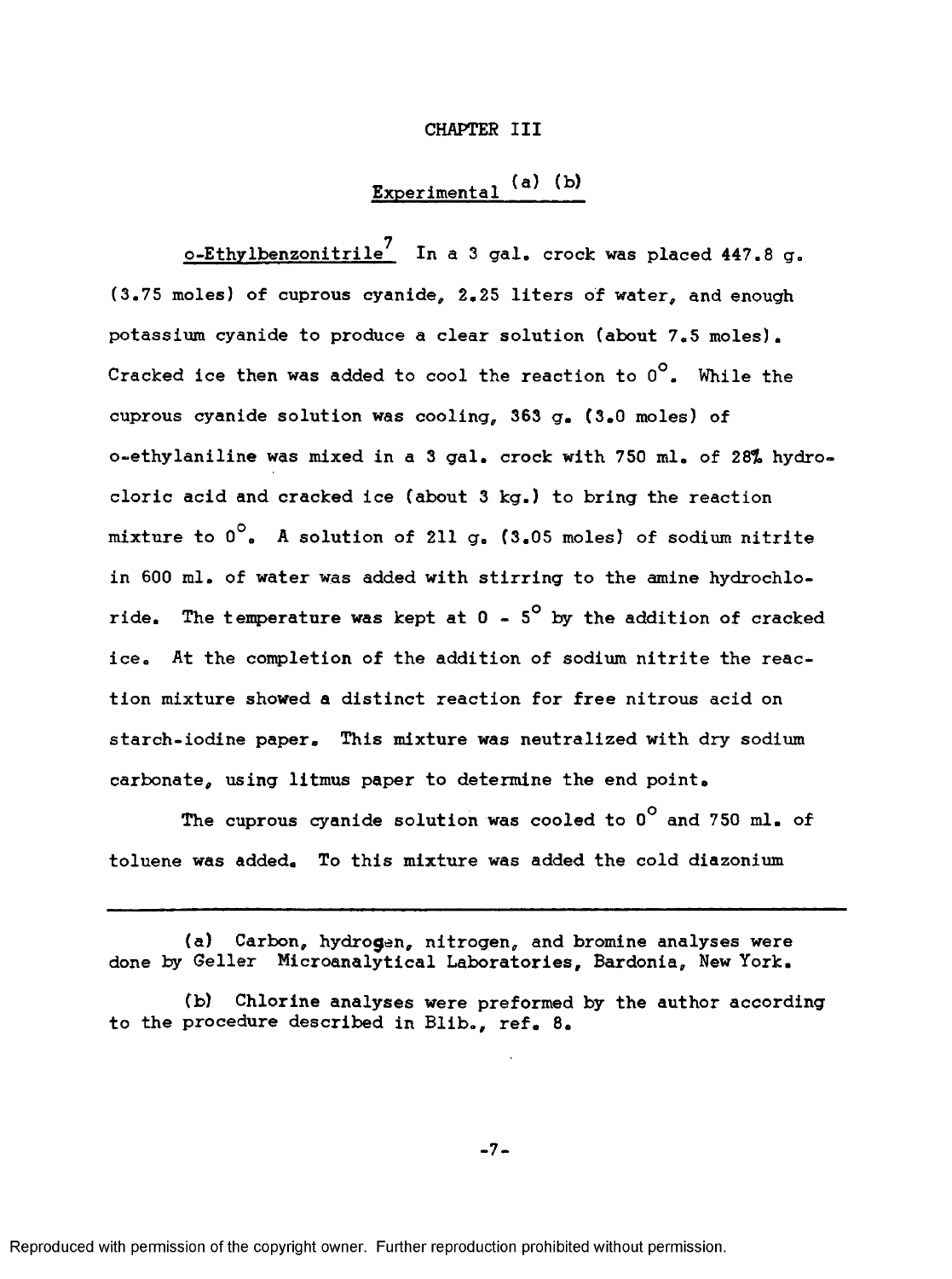#### **CHAPTER III**

# Experimental (a) (b)

7 o-Ethylbenzonitrile′ In a 3 gal. crock was placed 447.8 g. (3.75 moles) of cuprous cyanide, 2,25 liters of water, and enough potassium cyanide to produce a clear solution (about 7,5 moles). Cracked ice then was added to cool the reaction to  $0^\circ$ . While the cuprous cyanide solution was cooling, 363 g, (3,0 moles) of o-ethylaniline was mixed in a 3 gal, crock with 750 ml. of 28% hydrocloric acid and cracked ice (about 3 kg.) to bring the reaction mixture to  $0^\circ$ . A solution of 211 g. (3.05 moles) of sodium nitrite in 600 ml. of water was added with stirring to the amine hydrochloride. The temperature was kept at  $0 - 5^{\circ}$  by the addition of cracked ice. At the completion of the addition of sodium nitrite the reaction mixture showed a distinct reaction for free nitrous acid on starch-iodine paper. This mixture was neutralized with dry sodium carbonate, using litmus paper to determine the end point.

The cuprous cyanide solution was cooled to  $0^{\circ}$  and 750 ml. of toluene was added. To this mixture was added the cold diazonium

(a) Carbon, hydrogen, nitrogen, and bromine analyses were done by Geller Microanalytical Laboratories, Bardonia, New York,

(b) Chlorine analyses were preformed by the author according to the procedure described in Blib., ref. 8.

-7-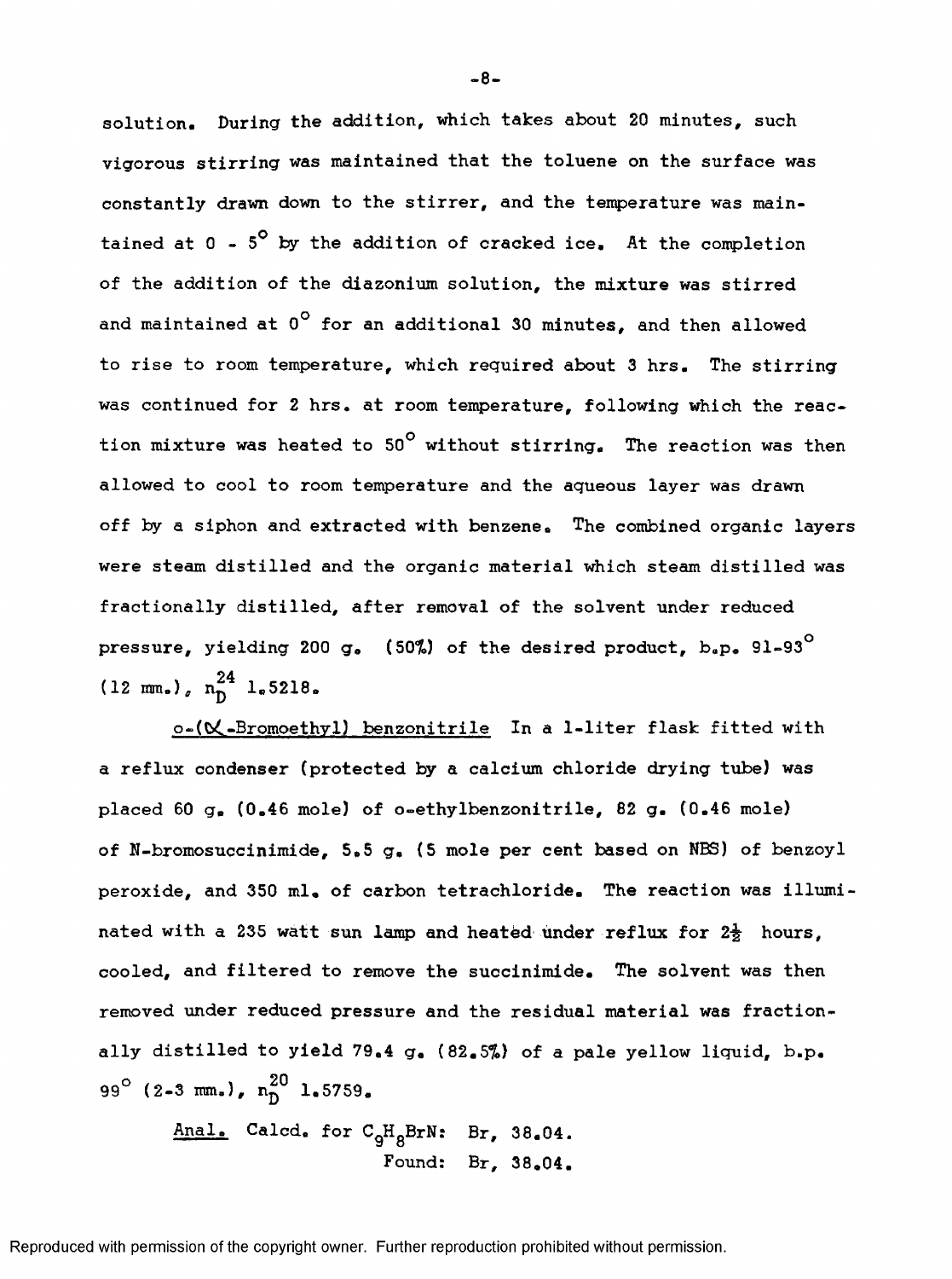solution. During the addition, which takes about 20 minutes, such vigorous stirring was maintained that the toluene on the surface was constantly drawn down to the stirrer, and the temperature was maintained at  $0 - 5^{\circ}$  by the addition of cracked ice. At the completion of the addition of the diazonium solution, the mixture was stirred and maintained at  $0^{\circ}$  for an additional 30 minutes, and then allowed to rise to room temperature, which required about 3 hrs. The stirring was continued for 2 hrs. at room temperature, following which the reaction mixture was heated to  $50^\circ$  without stirring. The reaction was then allowed to cool to room temperature and the aqueous layer was drawn off by a siphon and extracted with benzene. The combined organic layers were steam distilled and the organic material which steam distilled was fractionally distilled, after removal of the solvent under reduced pressure, yielding 200 g. (50%) of the desired product,  $b_z p_s$  91-93<sup>°</sup> 94  $(12 \text{ mm.})$ ,  $n_{\overline{D}}^{2}$  1.5218.

o-( $\mathsf{C}\text{-}\mathsf{Bromochyll}$  benzonitrile In a 1-liter flask fitted with a reflux condenser (protected by a calcium chloride drying tube) was placed 60 g. (0.46 mole) of o-ethylbenzonitrile, 82 g. (0.46 mole) of N-bromosuccinimide, 5.5 g. (5 mole per cent based on NBS) of benzoyl peroxide, and 350 ml, of carbon tetrachloride. The reaction was illuminated with a 235 watt sun lamp and heated under reflux for  $2\frac{1}{2}$  hours, cooled, and filtered to remove the succinimide. The solvent was then removed under reduced pressure and the residual material was fractionally distilled to yield 79.4 g, (82.5%) of a pale yellow liquid, b.p. 99° (2-3 mm.),  $n^{20}$  1.5759.

Anal. Calcd. for C<sub>9</sub>H<sub>8</sub>BrN: Br, 38.04. Found: Br, 38.04.

**-8-**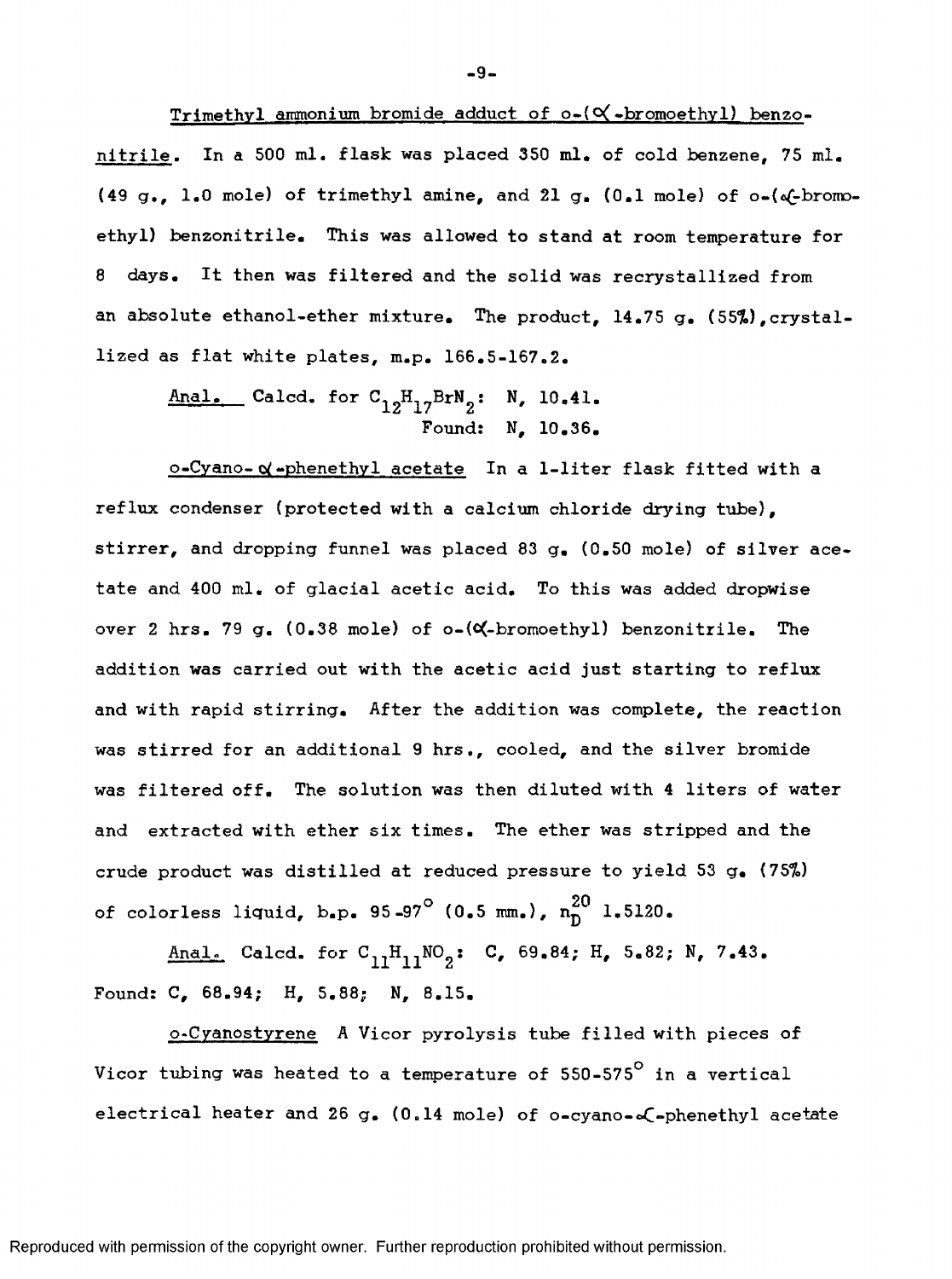Trimethyl ammonium bromide adduct of  $o-(\mathsf{Q}'*)$ romoethyl) benzonitrile. In a 500 ml. flask was placed 350 ml. of cold benzene, 75 ml. (49 g., 1.0 mole) of trimethyl amine, and 21 g. (0.1 mole) of  $o-(a\xi-bromo$ ethyl) benzonitrile. This was allowed to stand at room temperature for 8 days. It then was filtered and the solid was recrystallized from an absolute ethanol-ether mixture. The product, 14.75 g. (55%), crystallized as flat white plates, m.p. 166,5-167.2.

Anal. Calcd. for  $C_{12}H_{17}BrN_2$ : N, 10.41. Found: N, 10,36,

o-Cyano- *oi* -phenethvl acetate In a 1-liter flask fitted with a reflux condenser (protected with a calcium chloride drying tube), stirrer, and dropping funnel was placed 83 g, (0,50 mole) of silver acetate and 400 ml, of glacial acetic acid. To this was added dropwise over 2 hrs. 79 g.  $(0.38 \text{ mole})$  of  $o-(\alpha-\text{bromoethyl})$  benzonitrile. The addition was carried out with the acetic acid just starting to reflux and with rapid stirring. After the addition was complete, the reaction was stirred for an additional 9 hrs., cooled, and the silver bromide was filtered off. The solution was then diluted with 4 liters of water and extracted with ether six times. The ether was stripped and the crude product was distilled at reduced pressure to yield 53 g, (75%) of colorless liquid, b.p. 95-97<sup>°</sup> (0.5 mm.),  $n_0^{20}$  1.5120.

Anal. Calcd. for  $C_{11}H_{11}NO_2$ : C, 69.84; H, 5.82; N, 7.43. Found: C, 68.94; H, 5.88; N, 8.15.

o-Cyanostyrene A Vicor pyrolysis tube filled with pieces of Vicor tubing was heated to a temperature of 550-575° in a vertical electrical heater and 26 g. (0.14 mole) of  $o$ -cyano-o $\mathcal{L}$ -phenethyl acetate

**-9-**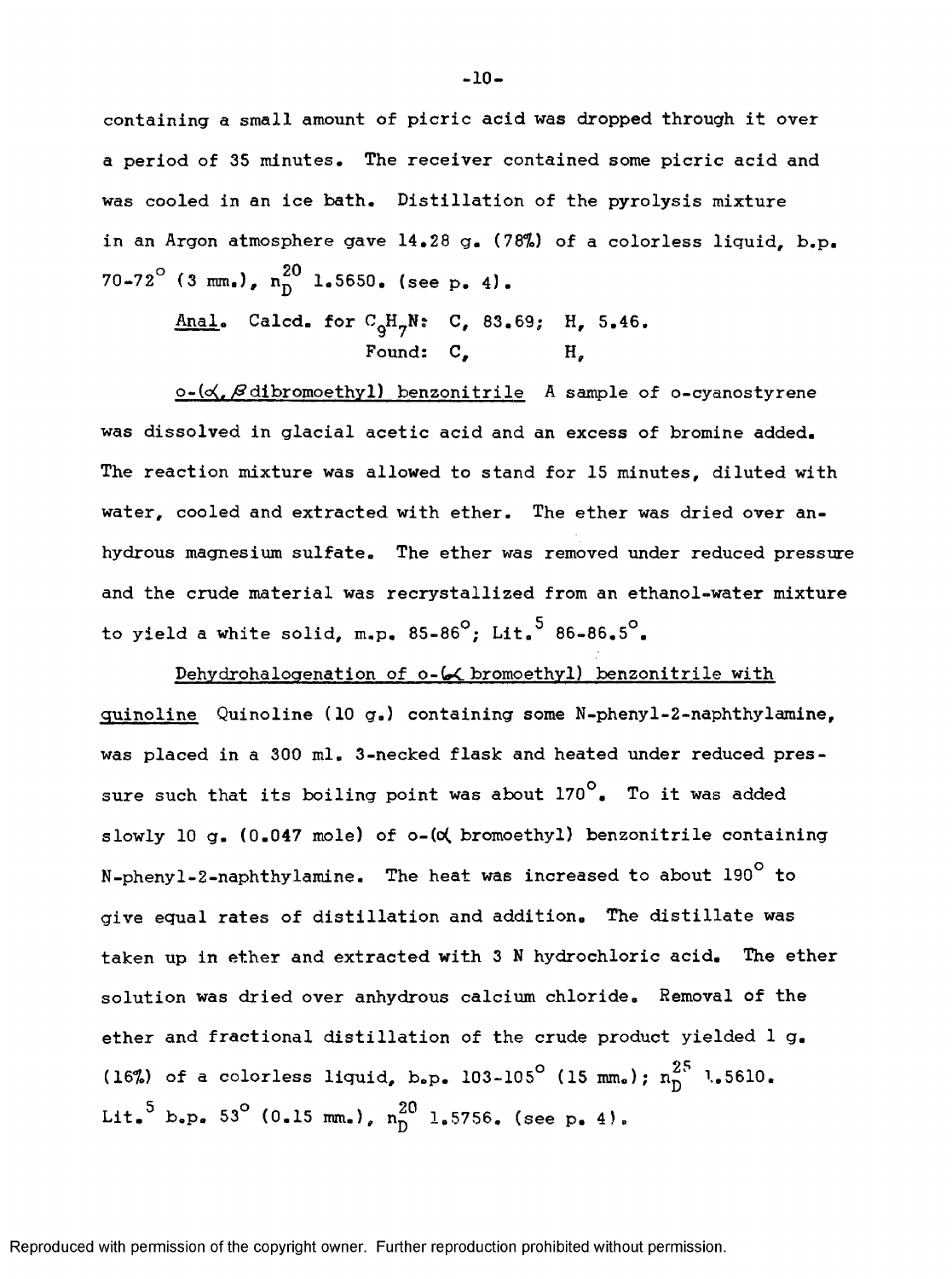containlng a small amount of picric acid was dropped through it over a period of 35 minutes. The receiver contained some picric acid and was cooled in an ice bath. Distillation of the pyrolysis mixture in an Argon atmosphere gave 14,28 g, {78%) of a colorless liquid, b.p.  $70-72^{\circ}$  (3 mm.),  $n_{\text{D}}^{20}$  1.5650. (see p. 4).

Anal. Calcd. for  $C^H_qH^N$ : C, 83.69; H, 5.46. Found:  $C$ .

 $o-(\alpha)$ ,  $\beta$  dibromoethyl) benzonitrile A sample of o-cyanostyrene was dissolved in glacial acetic acid and an excess of bromine added. The reaction mixture was allowed to stand for 15 minutes, diluted with water, cooled and extracted with ether. The ether was dried over anhydrous magnesium sulfate. The ether was removed under reduced pressure and the crude material was recrystallized from an ethanol-water mixture to yield a white solid, m.p.  $85-86^\circ$ ; Lit.<sup>5</sup>  $86-86.5^\circ$ .

Dehydrohalogenation of o-6< bromoethyl) benzonitrile with quinoline Quinoline (10 g.) containing some N-phenyl-2-naphthylamine, was placed in a 300 ml, 3-necked flask and heated under reduced pressure such that its boiling point was about 170°. To it was added slowly 10 g. (0.047 mole) of o-(o bromoethyl) benzonitrile containing N-phenyl-2-naphthylamine. The heat was increased to about  $190^{\circ}$  to give equal rates of distillation and addition. The distillate was taken up in ether and extracted with 3 N hydrochloric acid. The ether solution was dried over anhydrous calcium chloride. Removal of the ether and fractional distillation of the crude product yielded 1 g. (16%) of a colorless liquid, b.p. 103-105<sup>°</sup> (15 mm.);  $n_D^{25}$  1.5610. Lit.<sup>5</sup> b.p. 53° (0.15 mm.),  $n^{20}$  1.5756. (see p. 4).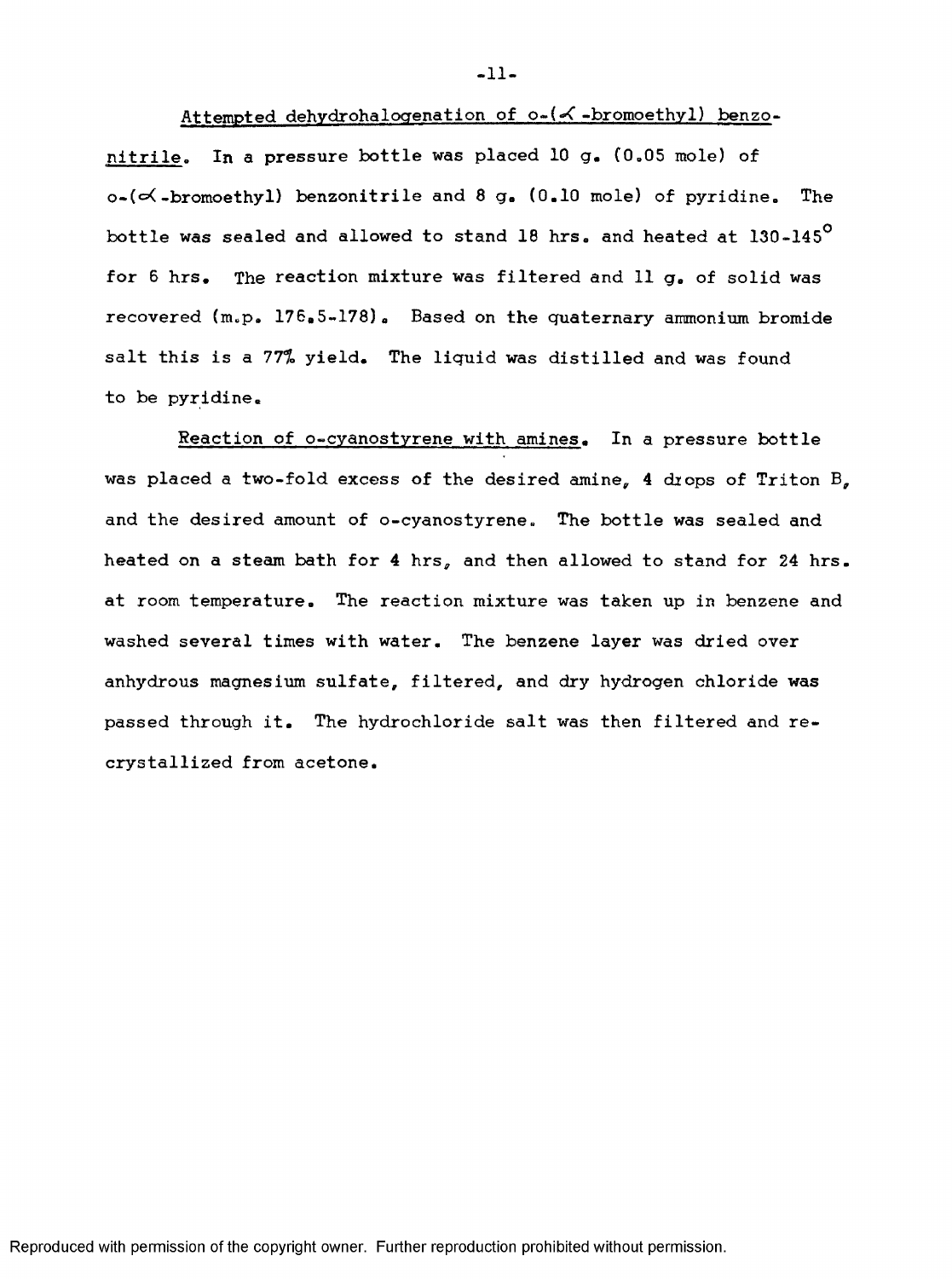**-11-**

## Attempted dehydrohalogenation of o-(<- bromoethyl) benzo-

nitrile. In a pressure bottle was placed 10 g. (0.05 mole) of  $o-(\prec-bromoethyl)$  benzonitrile and 8 g. (0.10 mole) of pyridine. The bottle was sealed and allowed to stand 18 hrs. and heated at 130-145° for 6 hrs. The reaction mixture was filtered and 11 g. of solid was recovered (m.p. 176,5-178). Based on the quaternary ammonium bromide salt this is a 77% yield. The liquid was distilled and was found to be pyridine.

Reaction of o-cyanostyrene with amines. In a pressure bottle was placed a two-fold excess of the desired amine, 4 drops of Triton B, and the desired amount of o-cyanostyrene. The bottle was sealed and heated on a steam bath for 4 hrs, and then allowed to stand for 24 hrs. at room temperature. The reaction mixture was taken up in benzene and washed several times with water. The benzene layer was dried over anhydrous magnesium sulfate, filtered, and dry hydrogen chloride was passed through it. The hydrochloride salt was then filtered and recrystallized from acetone.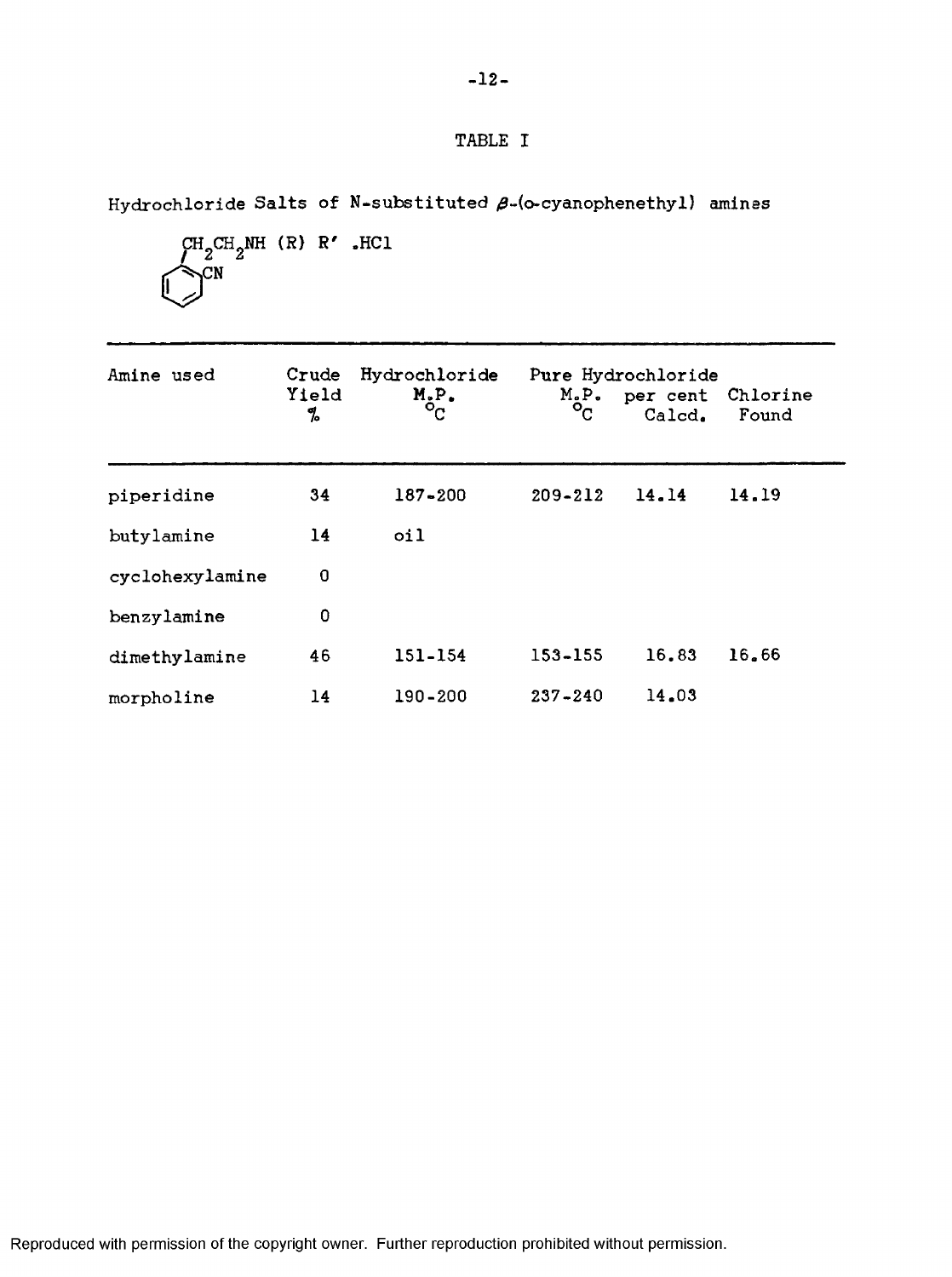## TABLE I

Hydrochloride Salts of N-substituted  $\beta$ -(o-cyanophenethyl) amines

$$
\bigcup_{\substack{CH_2CH_2NH\\ \bigcup\hspace{1.5em}CN}}^{CH_2CH_2NH \ (R) \ R' \ .HC1}
$$

| Amine used      | Crude<br>Yield<br>% | Hydrochloride<br>$M_{\circ}P_{\circ}$ . | $M_{o}P_{o}$ . | Pure Hydrochloride<br>per cent<br>Calcd. | Chlorine<br>Found |  |
|-----------------|---------------------|-----------------------------------------|----------------|------------------------------------------|-------------------|--|
| piperidine      | 34                  | $187 - 200$                             | $209 - 212$    | 14.14                                    | 14.19             |  |
| butylamine      | 14                  | 0i1                                     |                |                                          |                   |  |
| cyclohexylamine | 0                   |                                         |                |                                          |                   |  |
| benzylamine     | 0                   |                                         |                |                                          |                   |  |
| dimethylamine   | 46                  | 151-154                                 | 153-155        | 16.83                                    | 16.66             |  |
| morpholine      | 14                  | 190-200                                 | $237 - 240$    | 14.03                                    |                   |  |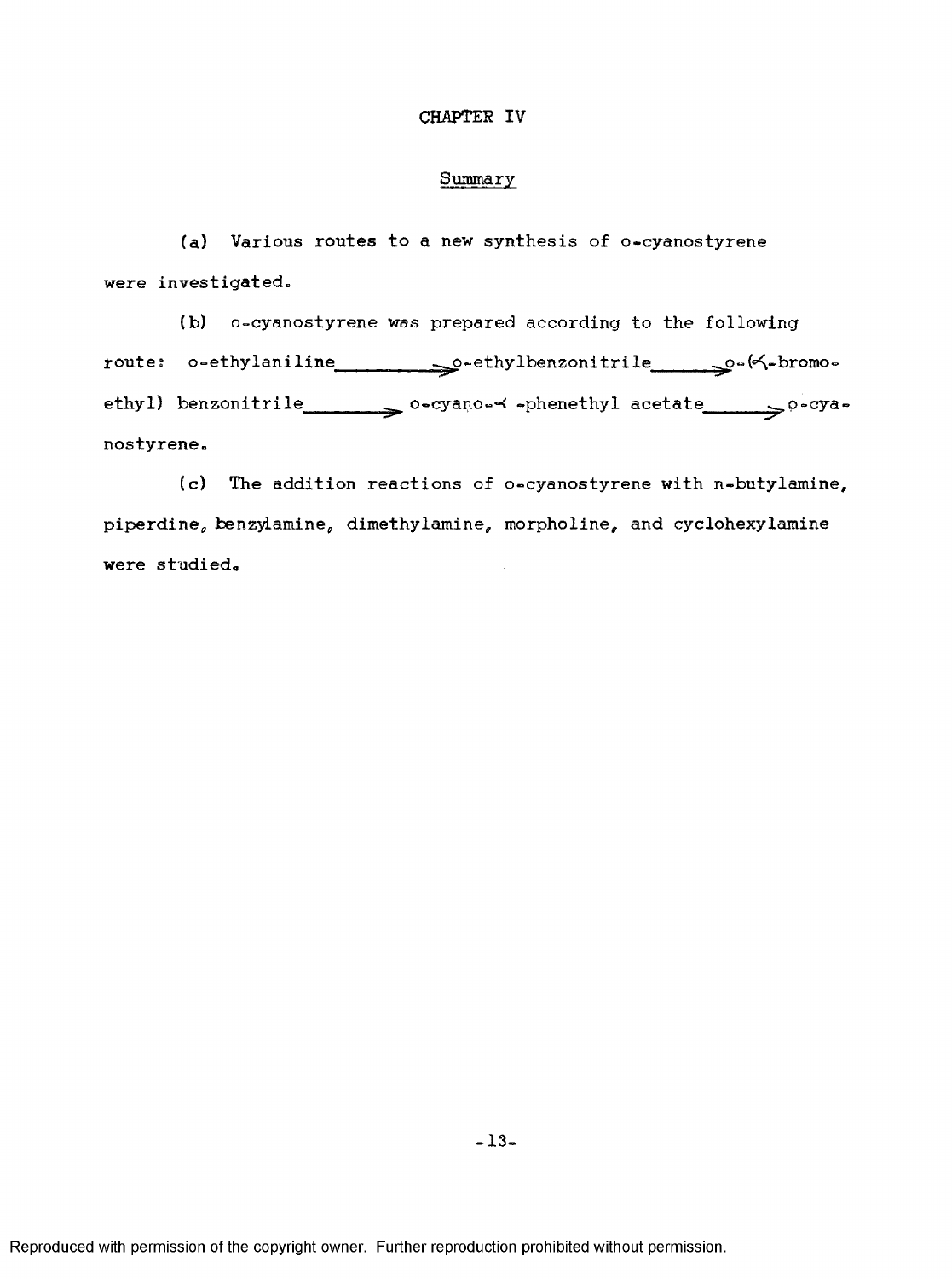### CHAPTER IV

#### Summary

(a) Various routes to a new synthesis of o-cyanostyrene were investigated.

(b) o-cyanostyrene was prepared according to the following route: o-ethylaniline sethylbenzonitrile setherwise ethyl) benzonitrile o-cyano-< -phenethyl acetate po-cyanostyrene.

(c) The addition reactions of o-cyanostyrene with n-butylamine, piperdine, benzylamine, dimethylamine, morpholine, and cyclohexy lamine were studied.

-13.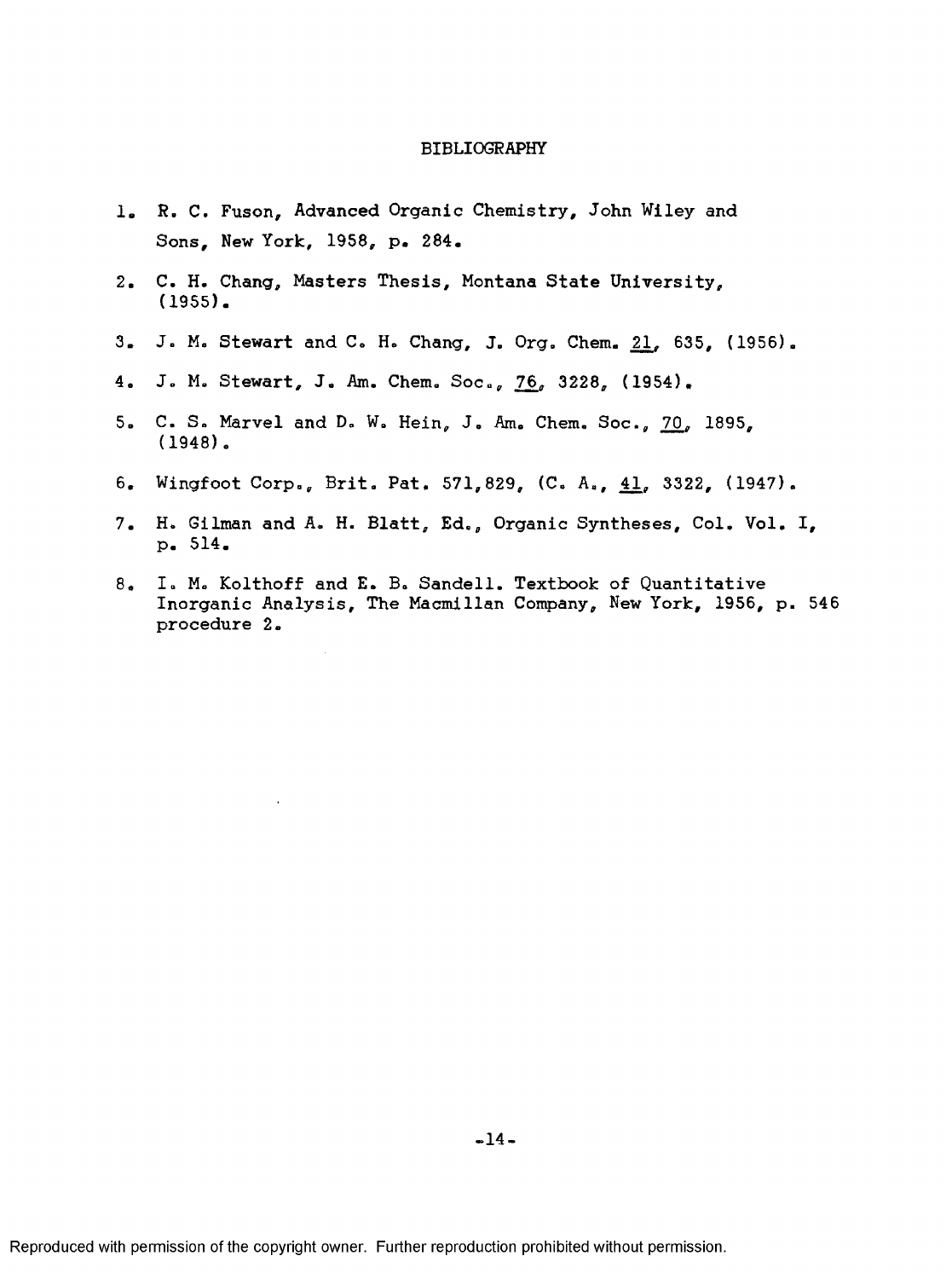#### BIBLIOGRAPHY

- 1. R. C. Fuson, Advanced Organic Chemistry, John Wiley and Sons, New York, 1958, p. 284.
- 2. C. H. Chang, Masters Thesis, Montana State University, (1955).
- 3. J. M. Stewart and C. H. Chang, J. Org. Chem. 21, 635, (1956).
- 4. J. M. Stewart, J. Am. Chem. Soc., 76, 3228, (1954).
- 5. C. 8, Marvel and D. W. Hein, J, Am. Chem, Soc., 70, 1895, (1948),
- 6. Wingfoot Corp., Brit, Pat. 571,829, (C. A., 41\_, 3322, (1947),
- 7. H. Gilman and A. H. Blatt, Ed., Organic Syntheses, Col, Vol. I, p. 514.
- 8. I, M, Kolthoff and E. B, Sandell. Textbook of Quantitative Inorganic Analysis, The Macmillan Company, New York, 1956, p. 546 procedure 2.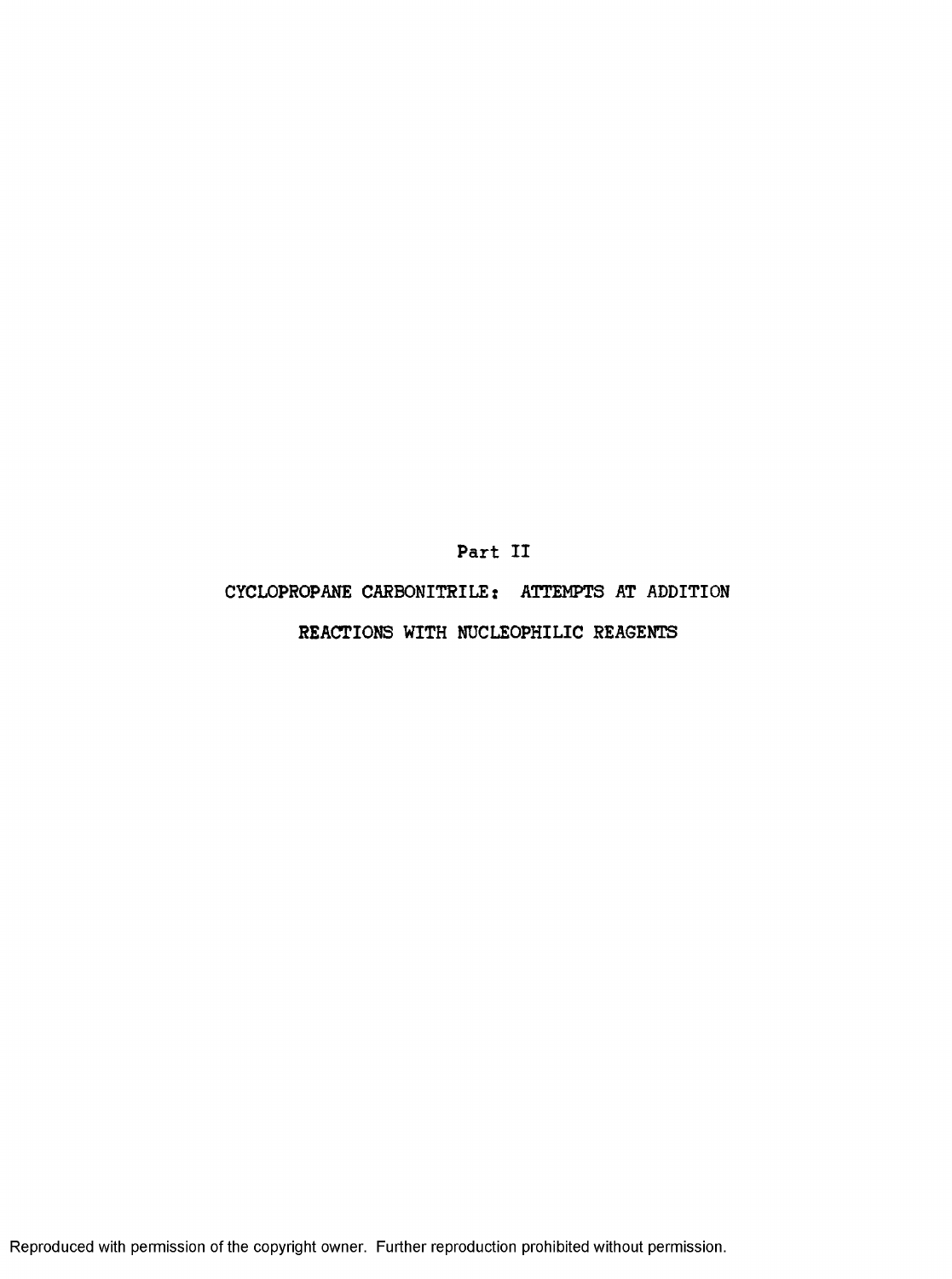**Part II**

# CYCLOPROPANE CARBONITRILE: ATTEMPTS AT ADDITION

## REACTIONS WITH NUCLEOPHILIC REAGENTS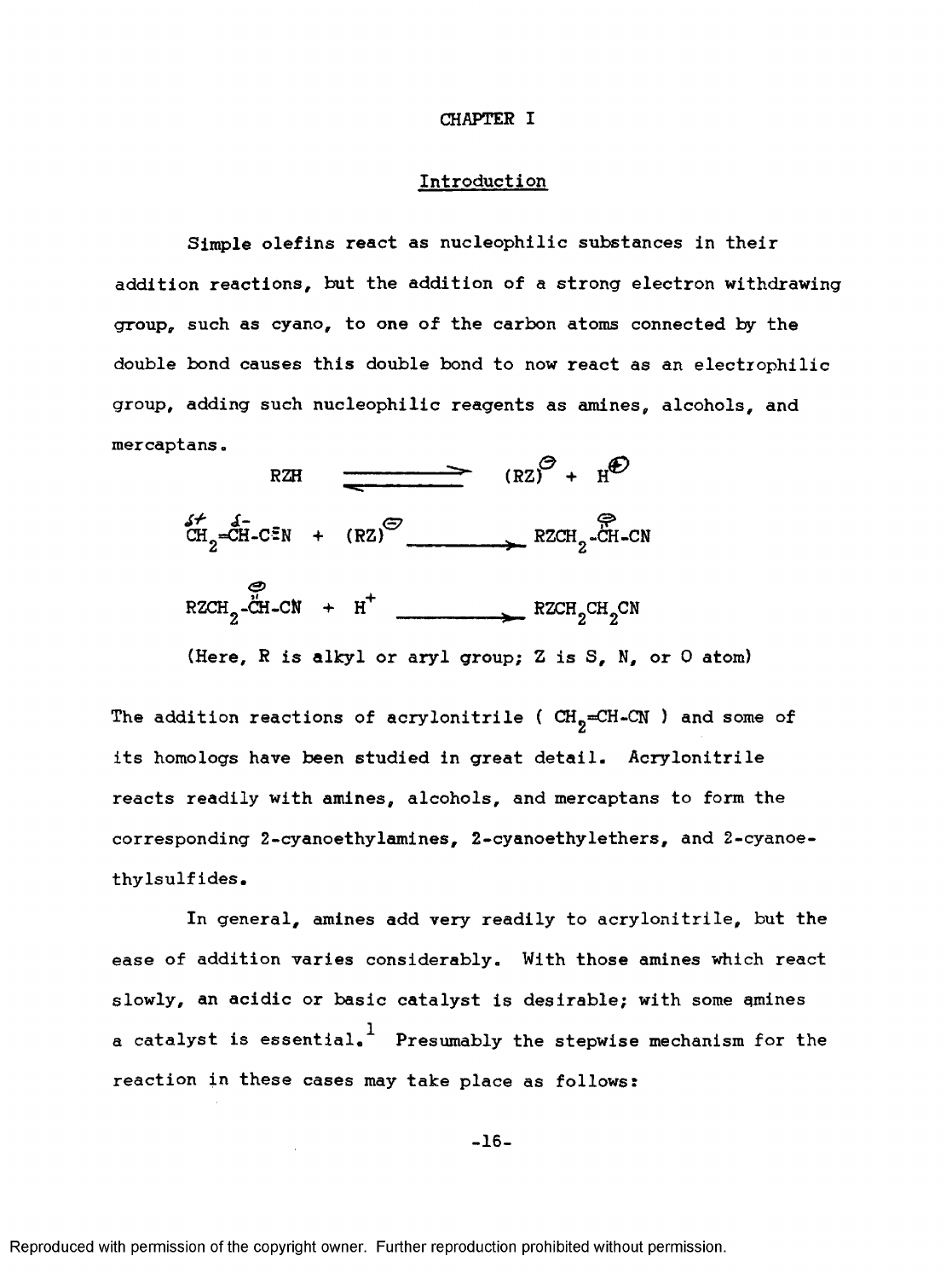#### **CHAPTER I**

## **Introduction**

Simple olefins react as nucleophilic substances in their addition reactions, but the addition of a strong electron withdrawing group, such as cyano, to one of the carbon atoms connected by the double bond causes this double bond to now react as an electrophilic group, adding such nucleophilic reagents as amines, alcohols, and mercaptans.



(Here, R is alkyl or aryl group; Z is S, N, or 0 atom)

The addition reactions of acrylonitrile ( $CH<sub>9</sub>=CH-CN$ ) and some of its homo logs have been studied in great detail. Acrylonitrile reacts readily with amines, alcohols, and mercaptans to form the corresponding 2-cyanoethylamines, 2-cyanoethylethers, and 2-cyanoethylsulfides.

In general, amines add very readily to acrylonitrile, but the ease of addition varies considerably. With those amines which react slowly, an acidic or basic catalyst is desirable; with some amines a catalyst is essential.  $^1$  Presumably the stepwise mechanism for the reaction in these cases may take place as follows :

-16-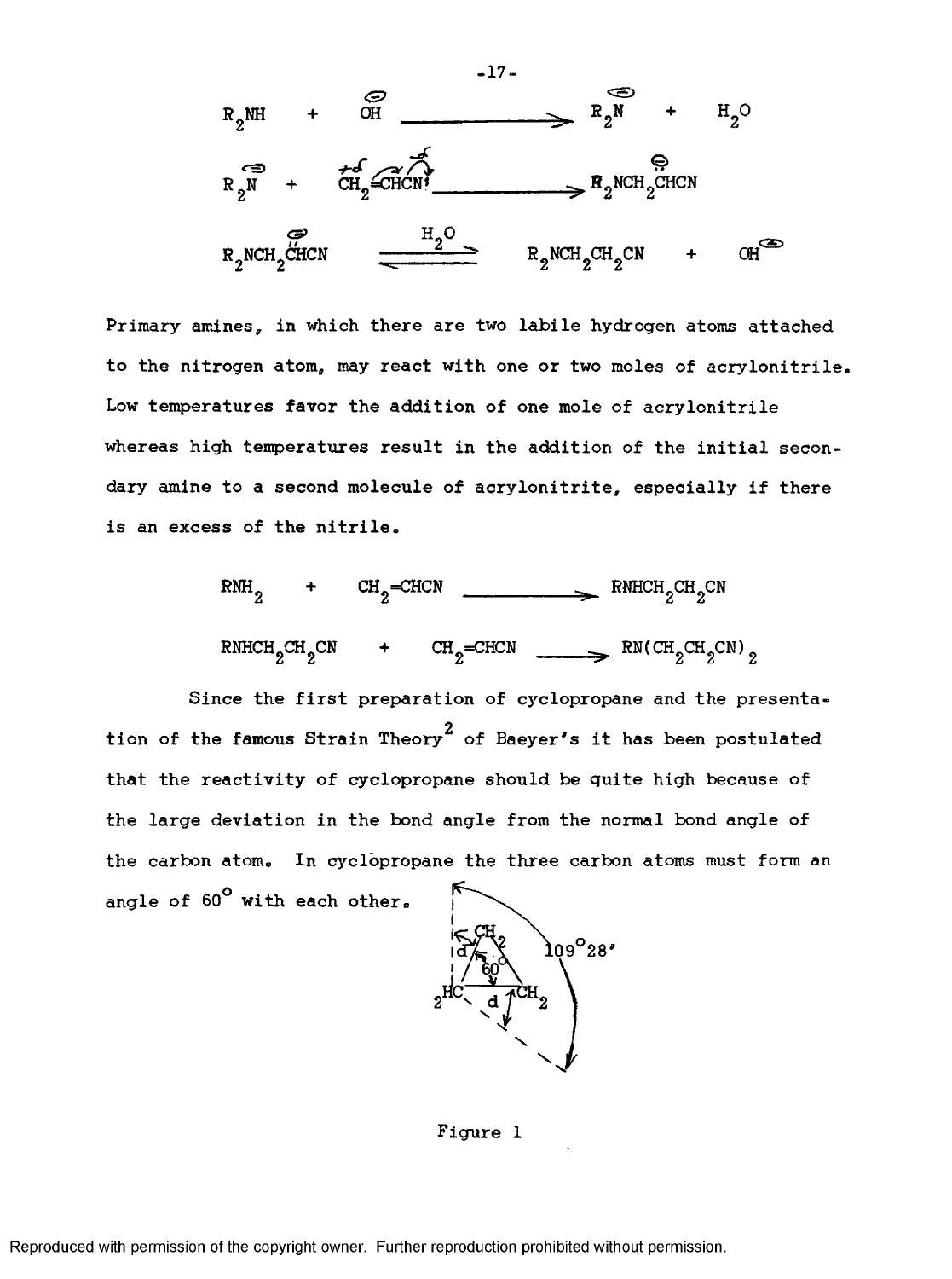

Primary amines, in which there are two labile hydrogen atoms attached to the nitrogen atom, may react with one or two moles of acrylonitrile. Low temperatures favor the addition of one mole of acrylonitrile whereas high temperatures result in the addition of the initial secondary amine to a second molecule of acrylonitrite, especially if there is an excess of the nitrile.



Since the first preparation of cyclopropane and the presentation of the fa**m**ous Strain Theory<sup>2</sup> of Baeyer's it has been postulated that the reactivity of cyclopropane should be quite high because of the large deviation in the bond angle from the normal bond angle of the carbon atom. In cyclopropane the three carbon atoms must form an angle of 60° with each other.



Figure 1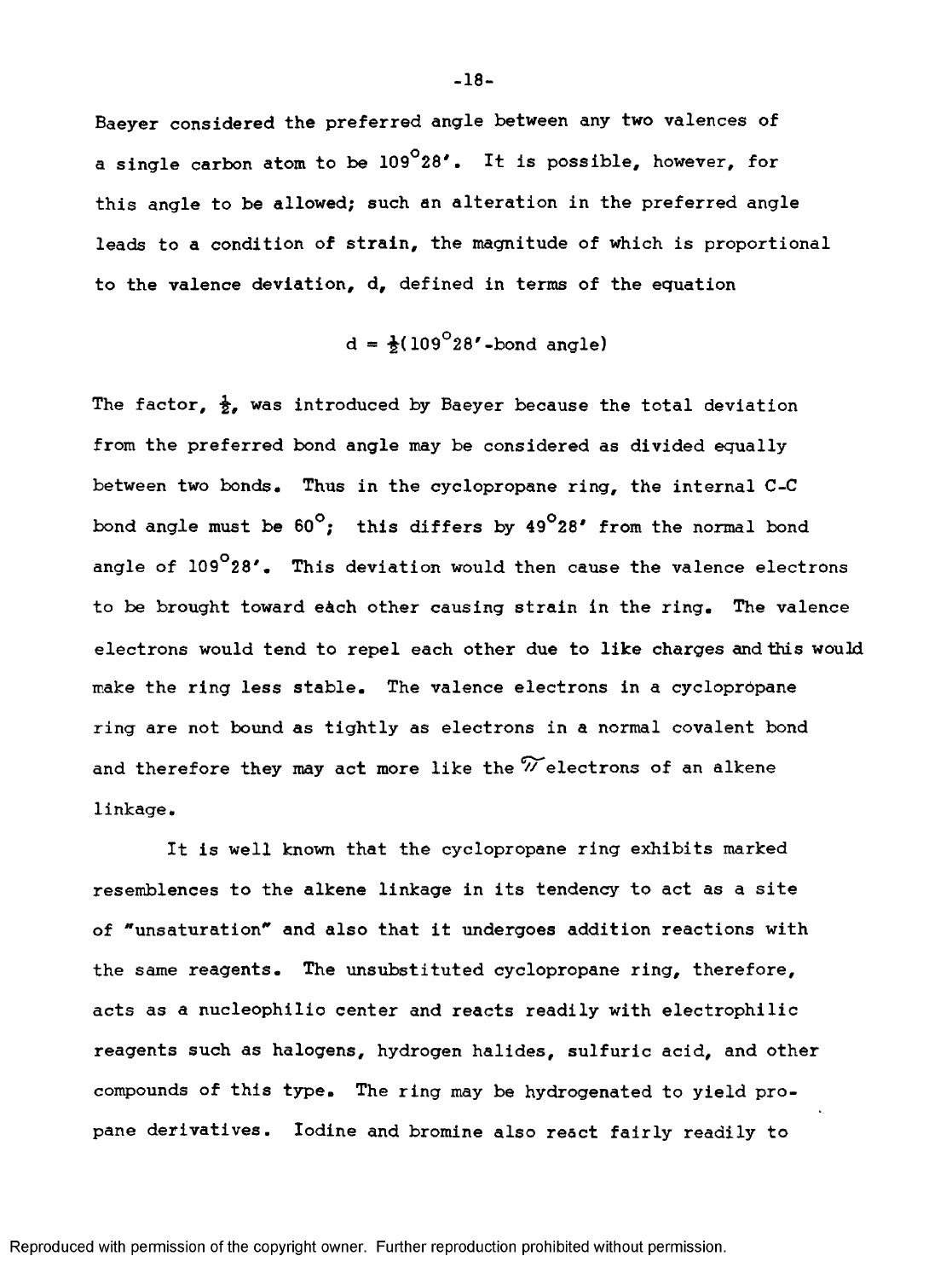Baeyer considered the preferred angle between any two valences of a single carbon atom to be  $109^{\circ}28'$ . It is possible, however, for this angle to be allowed; such an alteration in the preferred angle leads to a condition of strain, the magnitude of which is proportional to the valence deviation, d, defined in terms of the equation

 $d = \frac{1}{2}(109^{\circ}28' - bond$  angle)

The factor,  $\frac{1}{2}$ , was introduced by Baeyer because the total deviation from the preferred bond angle may be considered as divided equally between two bonds. Thus in the cyclopropane ring, the internal C-C bond angle must be  $60^\circ$ ; this differs by  $49^\circ 28'$  from the normal bond angle of 109<sup>°</sup>28'. This deviation would then cause the valence electrons to be brought toward e&ch other causing strain in the ring. The valence electrons would tend to repel each other due to like charges and this would make the ring less stable. The valence electrons in a cyclopropane ring are not bound as tightly as electrons in a normal covalent bond and therefore they may act more like the  $\widetilde{\mathscr{V}}$  electrons of an alkene linkage.

It is well known that the cyclopropane ring exhibits marked resemblances to the alkene linkage in its tendency to act as a site of "unsaturation\* and also that it undergoes addition reactions with the same reagents. The unsubstituted cyclopropane ring, therefore, acts as a nucleophilic center and reacts readily with electrophilic reagents such as halogens, hydrogen halides, sulfuric acid, and other compounds of this type. The ring may be hydrogenated to yield propane derivatives. Iodine and bromine also react fairly readily to

**-18-**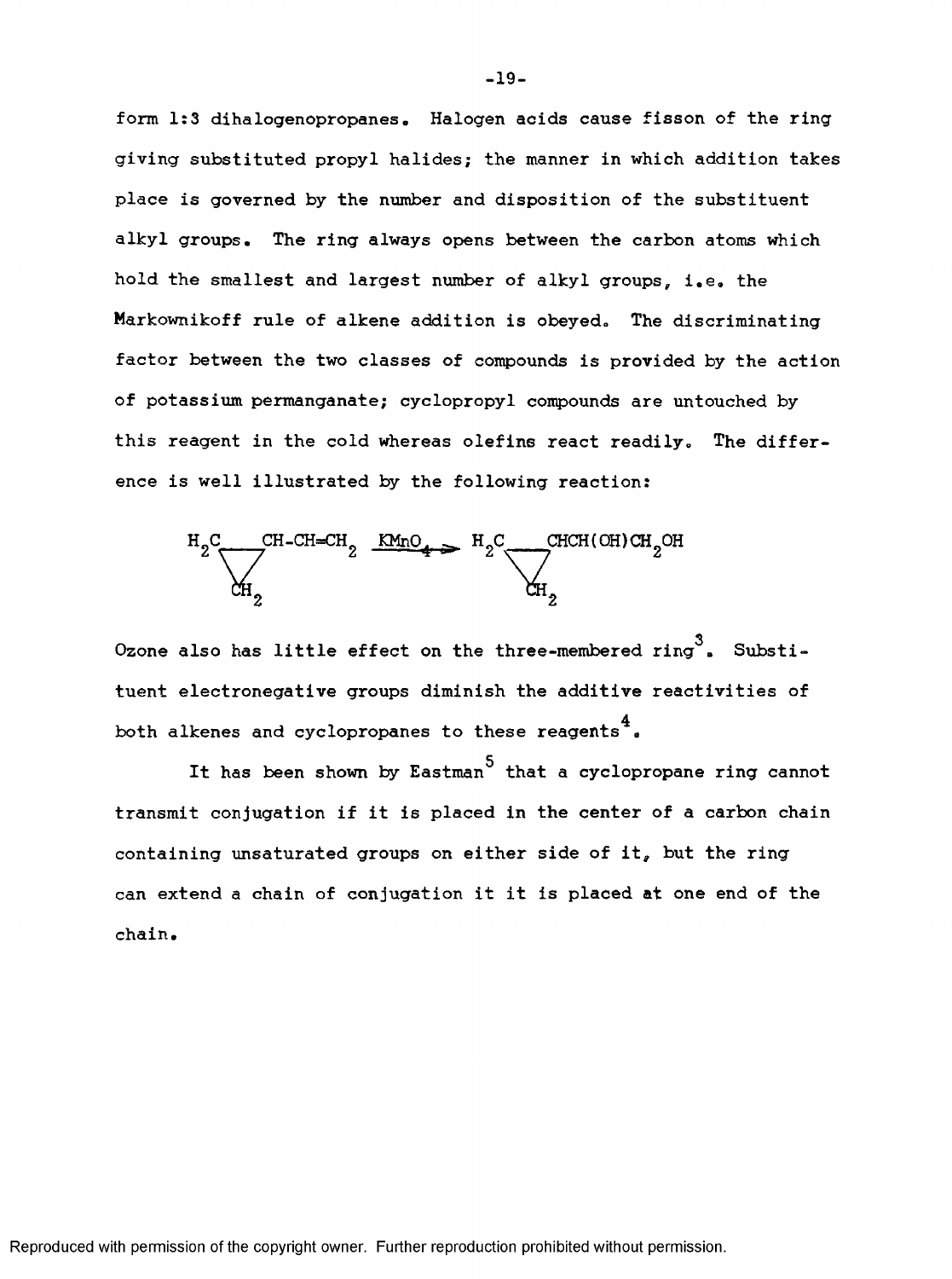form 1:3 dihalogenopropanes. Halogen acids cause fisson of the ring giving substituted propyl halides; the manner in which addition takes place is governed by the number and disposition of the substituent alkyl groups. The ring always opens between the carbon atoms which hold the smallest and largest number of alkyl groups, i.e. the Markownikoff rule of alkene addition is obeyed. The discriminating factor between the two classes of compounds is provided by the action of potassium permanganate; cyclopropyl compounds are untouched by this reagent in the cold whereas olefins react readily. The difference is well illustrated by the following reaction:



**3** Ozone also has little effect on the three-membered ring . Substituent electronegative groups diminish the additive reactivities of 4 both alkenes and cyclopropanes to these reagents  $\overline{\phantom{x}}$  .

It has been shown by Eastman<sup>5</sup> that a cyclopropane ring cannot transmit conjugation if it is placed in the center of a carbon chain containing unsaturated groups on either side of it, but the ring can extend a chain of conjugation it it is placed at one end of the chain.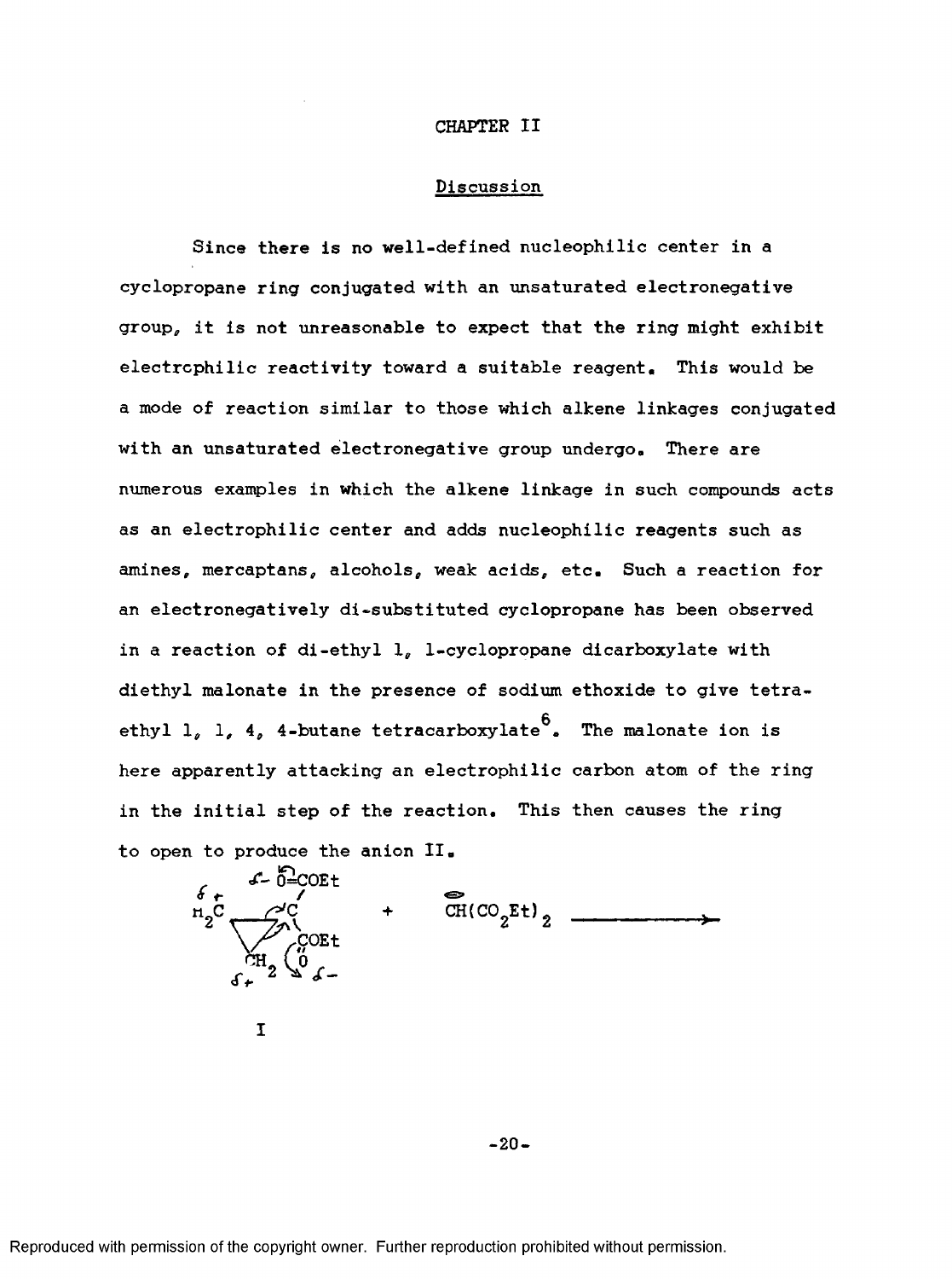#### **CHAPTER II**

### **Discussion**

Since there is no well-defined nucleophilic center in a cyclopropane ring conjugated with an unsaturated electronegative groupg it is not unreasonable to expect that the ring might exhibit electrophilic reactivity toward a suitable reagent. This would be a mode of reaction similar to those which alkene linkages conjugated with an unsaturated electronegative group undergo. There are numerous examples in which the alkene linkage in such compounds acts as an electrophilic center and adds nucleophilic reagents such as amines, mercaptans, alcohols, weak acids, etc. Such a reaction for an electronegatively di-substituted cyclopropane has been observed in a reaction of di-ethyl 1, 1-cyclopropane dicarboxylate with diethyl malonate in the presence of sodium ethoxide to give tetra- $\mathbf{e}$ ethyl 1, 1, 4, 4-butane tetracarboxylate  $\sim$  The malonate ion is here apparently attacking an electrophilic carbon atom of the ring in the initial step of the reaction. This then causes the ring to open to produce the anion II.



I

**- 20-**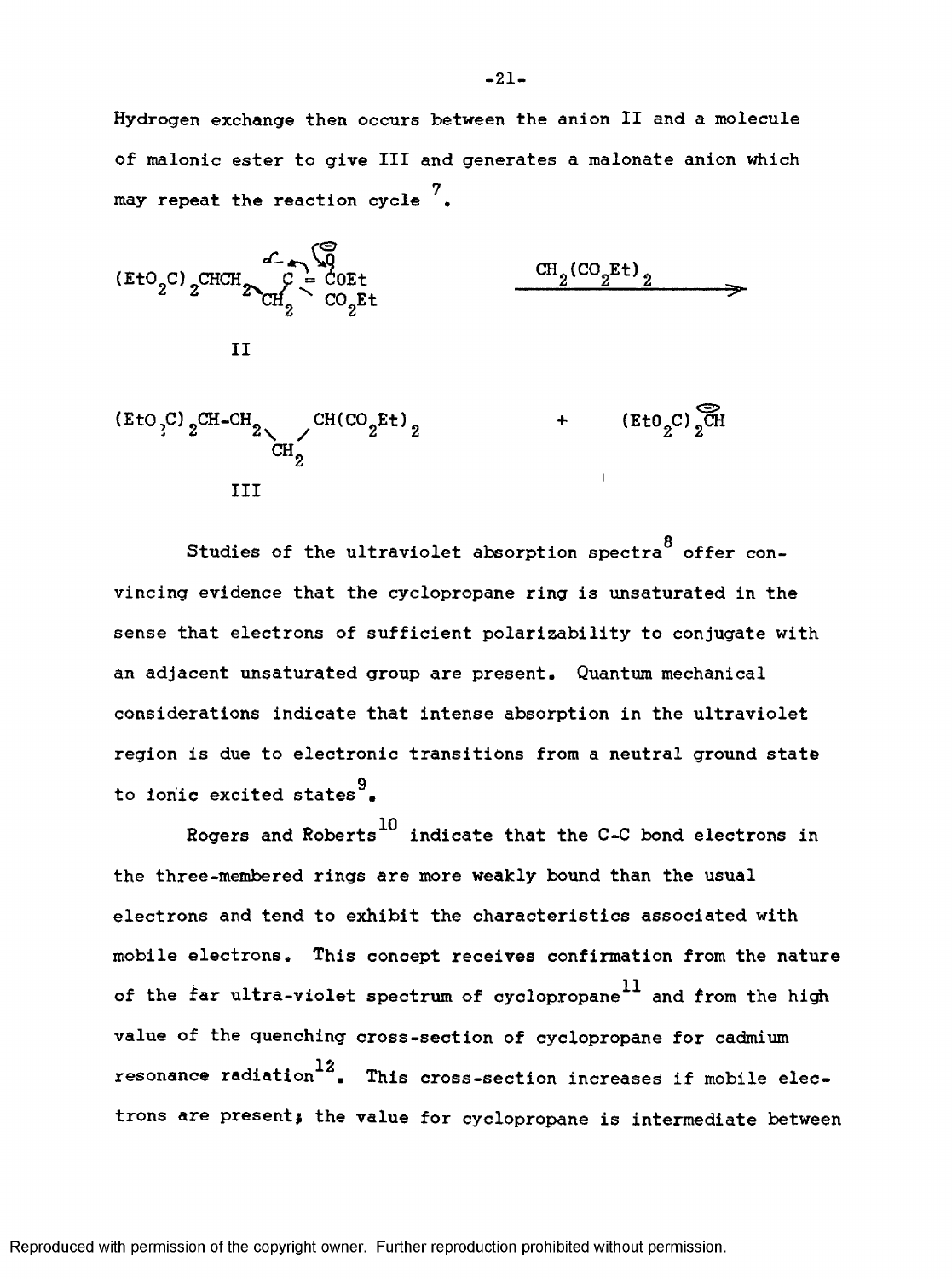Hydrogen exchange then occurs between the anion II and a molecule of malonic ester to give III and generates a malonate anion which may repeat the reaction cycle  $^7_\bullet$ 



Studies of the ultraviolet absorption spectra<sup>8</sup> offer convincing evidence that the cyclopropane ring is unsaturated in the sense that electrons of sufficient polarizability to conjugate with an adjacent unsaturated group are present. Quantum mechanical considerations indicate that intense absorption in the ultraviolet region is due to electronic transitions from a neutral ground state g to ionic excited states".

Rogers and Roberts<sup>10</sup> indicate that the C-C bond electrons in the three-membered rings are more weakly bound than the usual electrons and tend to exhibit the characteristics associated with mobile electrons. This concept receives confirmation from the nature of the far ultra-violet spectrum of cyclopropane<sup>11</sup> and from the high value of the quenching cross-section of cyclopropane for cadmium resonance radiation<sup>12</sup>. This cross-section increases if mobile electrons are present; the value for cyclopropane is intermediate between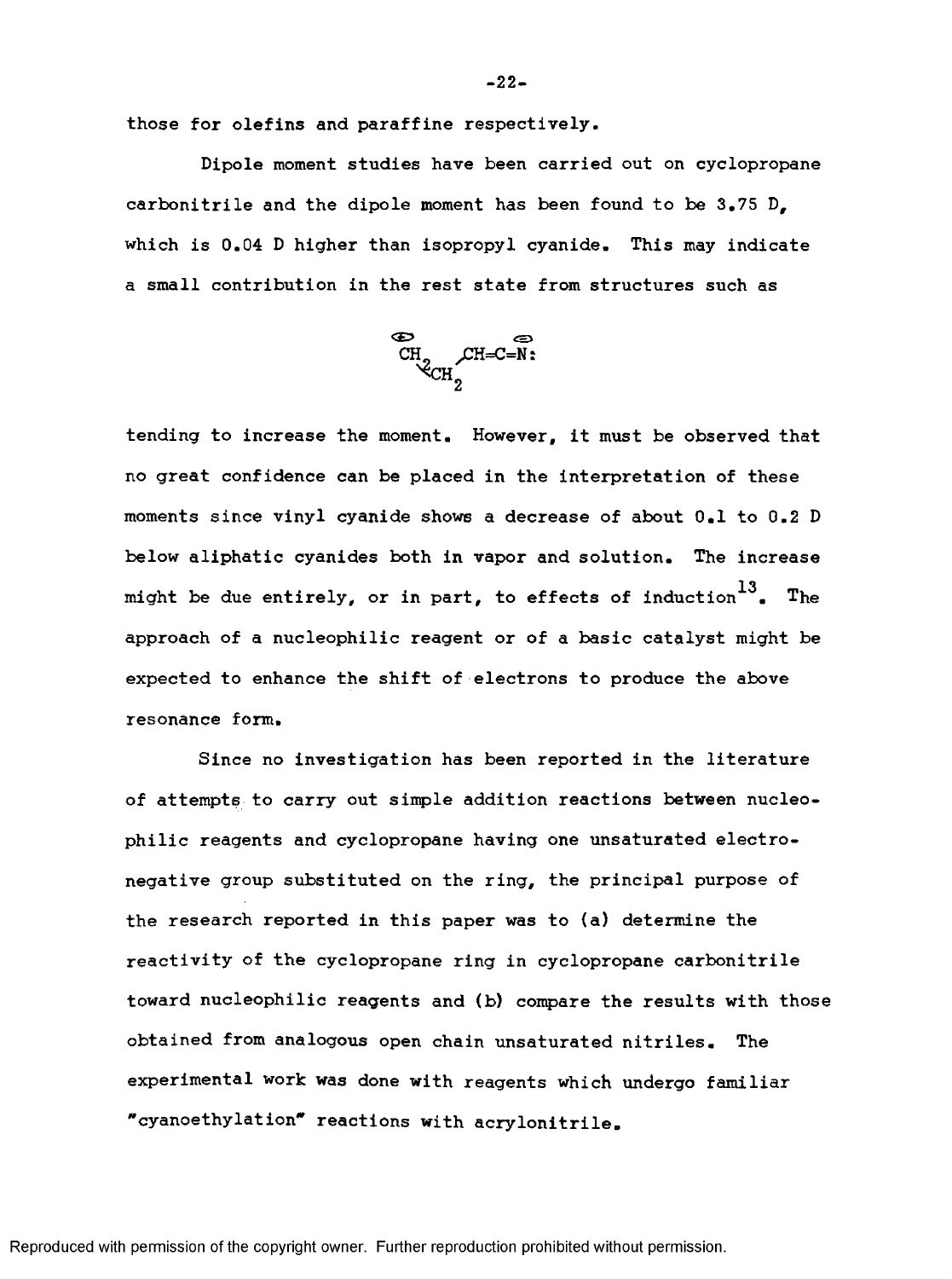those for olefins and paraffine respectively.

Dipole moment studies have been carried out on cyclopropane carbonitrile and the dipole moment has been found to be  $3.75$  D, which is 0.04 D higher than isopropyl cyanide. This may indicate a small contribution in the rest state from structures such as



tending to Increase the moment. However, It must be observed that no great confidence can be placed In the Interpretation of these moments since vinyl cyanide shows a decrease of about 0,1 to 0,2 D below aliphatic cyanides both In vapor and solution. The Increase might be due entirely, or in part, to effects of induction  $^{13}$ . The approach of a nucleophilic reagent or of a basic catalyst might be expected to enhance the shift of electrons to produce the above resonance form.

Since no Investigation has been reported in the literature of attempts to carry out sinple addition reactions between nucleophilic reagents and cyclopropane having one unsaturated electronegative group substituted on the ring, the principal purpose of the research reported in this paper was to (a) determine the reactivity of the cyclopropane ring in cyclopropane carbonitrile toward nucleophilic reagents and (b) compare the results with those obtained from analogous open chain unsaturated nitriles. The experimental work was done with reagents which undergo familiar "cyanoethylation" reactions with acrylonitrile.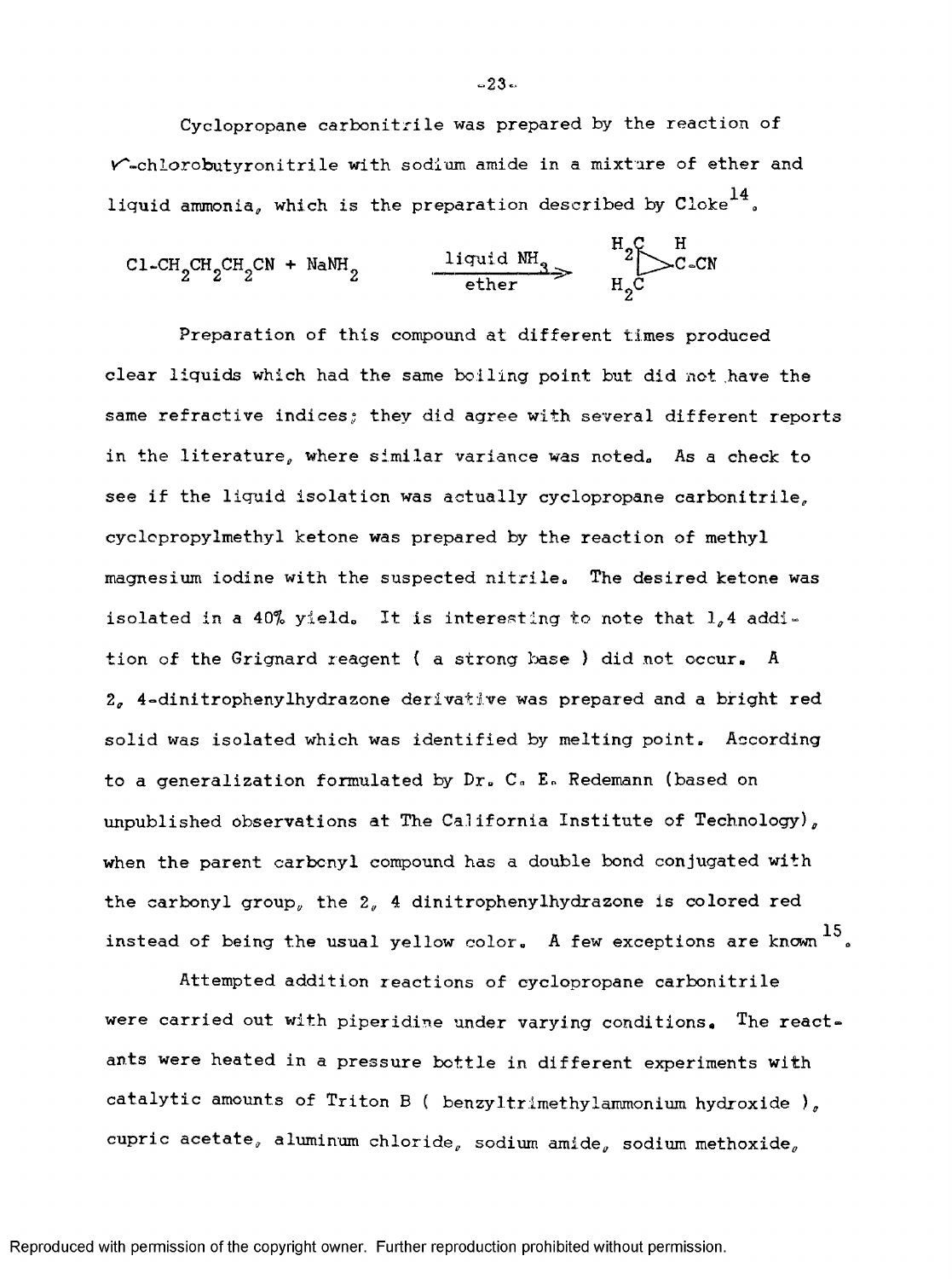Cyclopropane carbonitrile was prepared by the reaction of  $V$ -chlorobutyronitrile with sodium amide in a mixture of ether and liquid ammonia, which is the preparation described by  $\mathrm{Close}^{\mathrm{14}}$ .

$$
\text{CI-CH}_{2} \text{CH}_{2} \text{CH}_{2} \text{CN} + \text{NaNH}_{2} \longrightarrow \text{Iiquid NH}_{3} \longrightarrow \text{H}_{2} \text{C-CN}_{1} \text{C-CN}
$$

Preparation of this compound at different times produced clear liquids which had the same boiling point but did not .have the same refractive indices; they did agree with several different reports in the literature, where similar variance was noted. As a check to see if the liquid isolation was actually cyclopropane carbonitrile, cyclopropylmethyl ketone was prepared by the reaction of methyl magnesium iodine with the suspected nitrile. The desired ketone was isolated in a 40% yield. It is interesting to note that  $l_a$ 4 addition of the Grignard reagent ( a strong base ) did not occur. A 2, 4~dinitrophenylhydrazone derivative was prepared and a bright red solid was isolated which was identified by melting point. According to a generalization formulated by Dr. C. E. Redemann (based on unpublished observations at The California Institute of Technology), when the parent carbonyl compound has a double bond conjugated with the carbonyl group, the 2, 4 dinitrophenylhydrazone is colored red instead of being the usual yellow  $color$ . A few exceptions are known  $^{15}$ .

Attempted addition reactions of cyclopropane carbonitrile were carried out with piperidine under varying conditions. The react» ants were heated in a pressure bottle in different experiments with catalytic amounts of Triton B ( benzyItrimethylammonium hydroxide ), cupric acetate, aluminum chloride, sodium amide, sodium methoxide,

 $-23 -$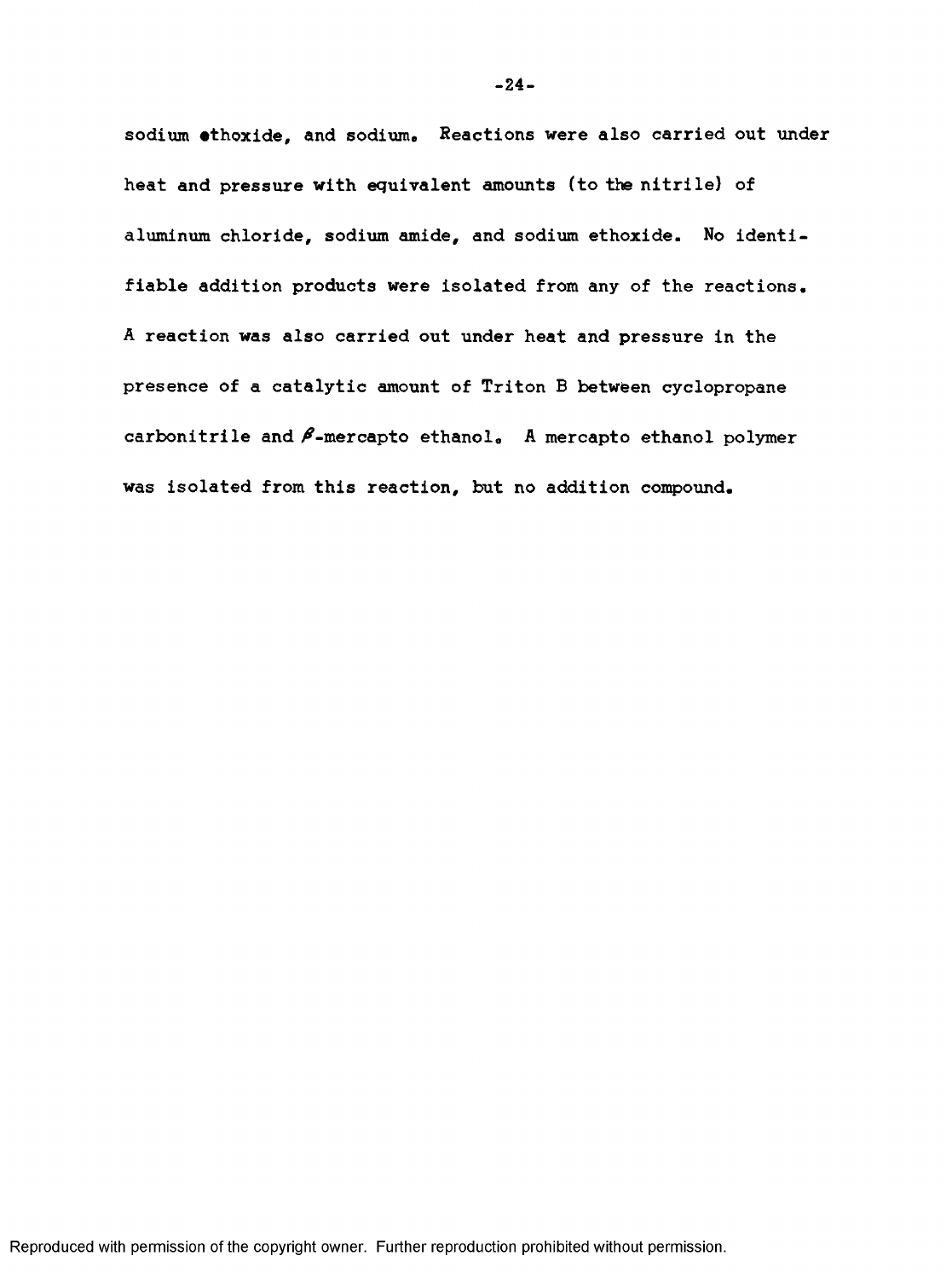sodium ethoxide, and sodium. Reactions were also carried out under heat and pressure with equivalent amounts (to the nitrile) of aluminum chloride, sodium amide, and sodium ethoxide. No identifiable addition products were isolated from any of the reactions, A reaction was also carried out under heat and pressure in the presence of a catalytic amount of Triton B between cyclopropane carbonitrile and  $\beta$ -mercapto ethanol. A mercapto ethanol polymer was isolated from this reaction, but no addition compound.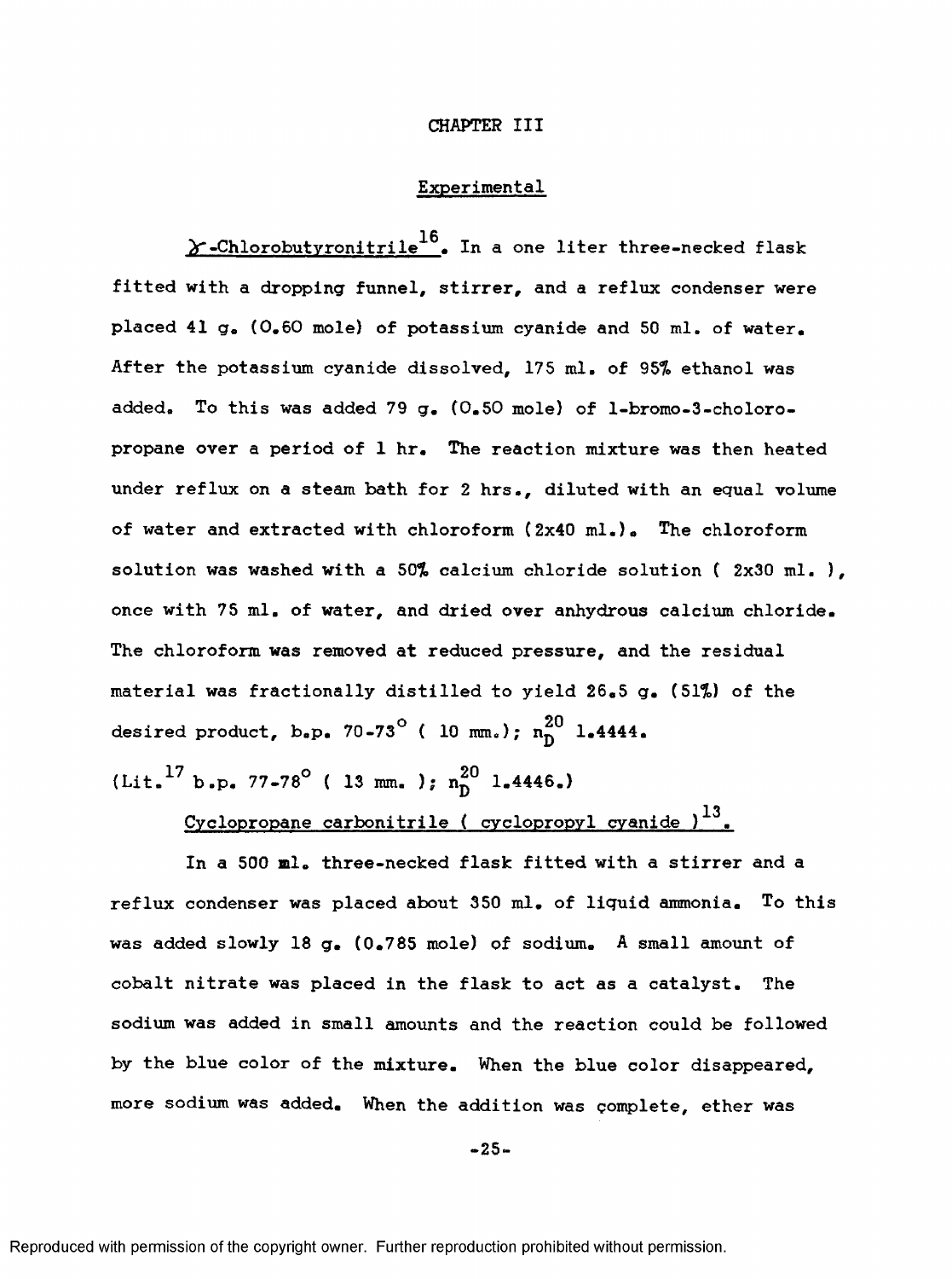#### **CHAPTER III**

## Experimental

 $\times$ -Chlorobutyronitrile<sup>16</sup>. In a one liter three-necked flask fitted with a dropping funnel, stirrer, and a reflux condenser were placed 41 g, (0,60 mole) of potassium cyanide and 50 ml. of water. After the potassium cyanide dissolved, 175 ml. of 95% ethanol was added. To this was added 79 g, (0,50 mole) of l-bromo-3-choloropropane over a period of 1 hr. The reaction mixture was then heated under reflux on a steam bath for 2 hrs., diluted with an equal volume of water and extracted with chloroform (2x40 ml.)» The chloroform solution was washed with a 50% calcium chloride solution (2x30 ml.), once with 75 ml. of water, and dried over anhydrous calcium chloride. The chloroform was removed at reduced pressure, and the residual material was fractionally distilled to yield 26,5 g, (51%) of the desired product, b.p. 70-73° (10 mm.);  $n_{\text{D}}^{20}$  1.4444.

 $(Lit.^{17} b.p. 77-78°$  ( 13 mm. ); n<sup>20</sup> 1.4446.)

 $Cyclopropane$  carbonitrile ( cyclopropyl cyanide ) $^{13}$ .

In a 500 ml. three-necked flask fitted with a stirrer and a reflux condenser was placed about 350 ml. of liquid ammonia. To this was added slowly 18 g, (0.785 mole) of sodium. A small amount of cobalt nitrate was placed in the flask to act as a catalyst. The sodium was added in small amounts and the reaction could be followed by the blue color of the mixture. When the blue color disappeared, more sodium was added. When the addition was complete, ether was

 $-25 -$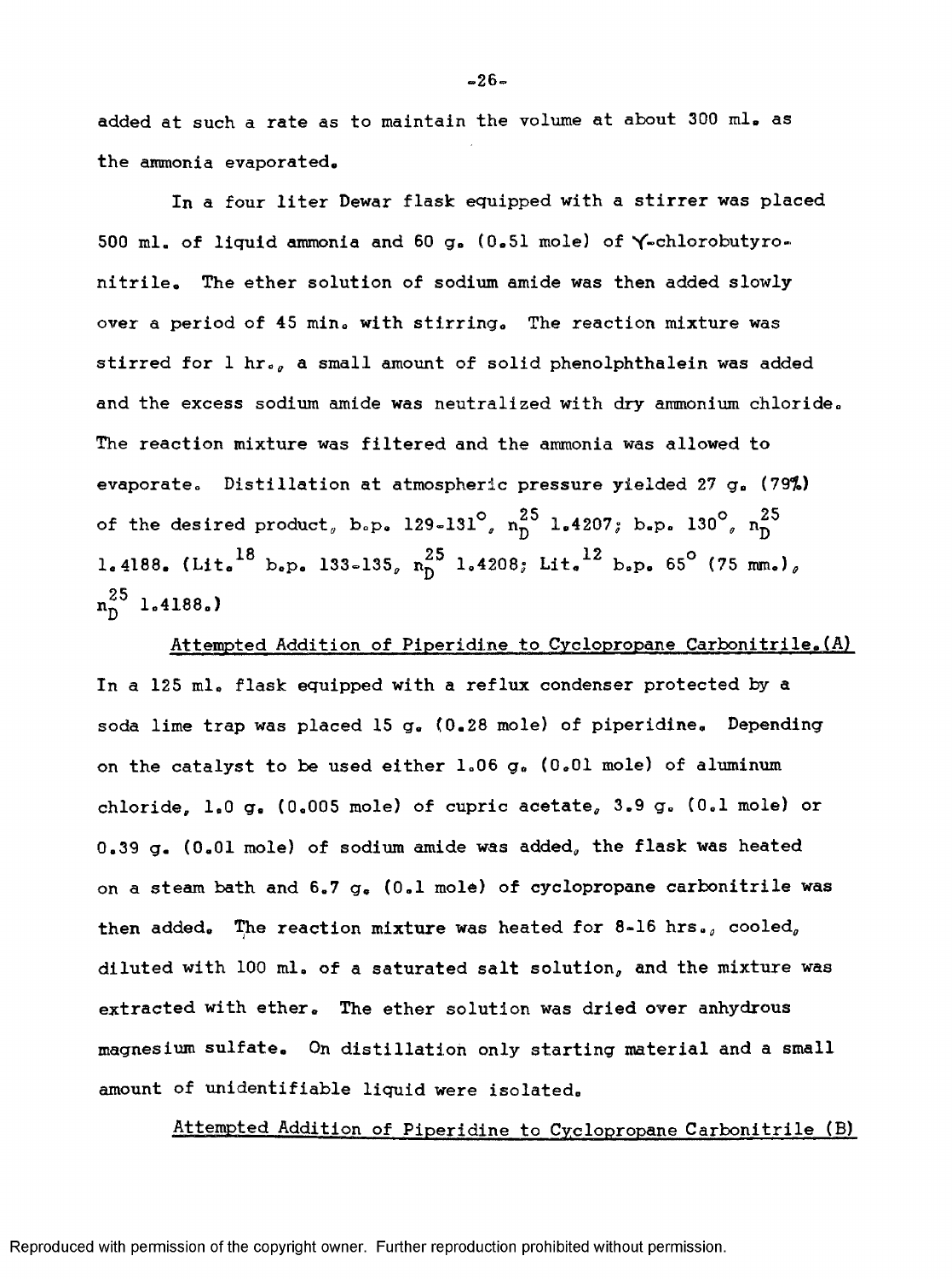added at such a rate as to maintain the volume at about 300 ml. as the ammonia evaporated.

In a four liter Dewar flask equipped with a stirrer was placed 500 ml. of liquid ammonia and 60 g» (0,51 mole) of Y-chlorobutyronitrile. The ether solution of sodium amide was then added slowly over a period of 45 min, with stirring. The reaction mixture was stirred for 1 hr., a small amount of solid phenolphthalein was added and the excess sodium amide was neutralized with dry ammonium chloride. The reaction mixture was filtered and the ammonia was allowed to evaporate. Distillation at atmospheric pressure yielded 27 g, (79%) of the desired product, b.p. 129-131<sup>°</sup>,  $n_{\text{D}}^{25}$  1.4207; b.p. 130<sup>°</sup>,  $n_{\text{D}}^{25}$ 1.4188. (Lit.<sup>18</sup> b.p. 133-135,  $n_0^{25}$  1.4208; Lit.<sup>12</sup> b.p. 65° (75 mm.),  $n_0^{25}$  1.4188.)

Attempted Addition of Piperidine to Cyclopropane Carbonitrile.(A) In a 125 ml. flask equipped with a reflux condenser protected by a soda lime trap was placed 15 g. (0.28 mole) of piperidine. Depending on the catalyst to be used either 1,06 g, (0,01 mole) of aluminum chloride, 1.0 g. (0.005 mole) of cupric acetate, 3.9 g, (0.1 mole) or  $0.39$  g. (0.01 mole) of sodium amide was added, the flask was heated on a steam bath and  $6.7 g_6$  (0.1 mole) of cyclopropane carbonitrile was then added. The reaction mixture was heated for 8-16 hrs., cooled, diluted with 100 ml, of a saturated salt solution, and the mixture was extracted with ether. The ether solution was dried over anhydrous magnesium sulfate. On distillation only starting material and a small amount of unidentifiable liquid were isolated.

Attempted Addition of Piperidine to Cyclopropane Carbonitrile (B)

Reproduced with permission of the copyright owner. Further reproduction prohibited without permission.

 $-26-$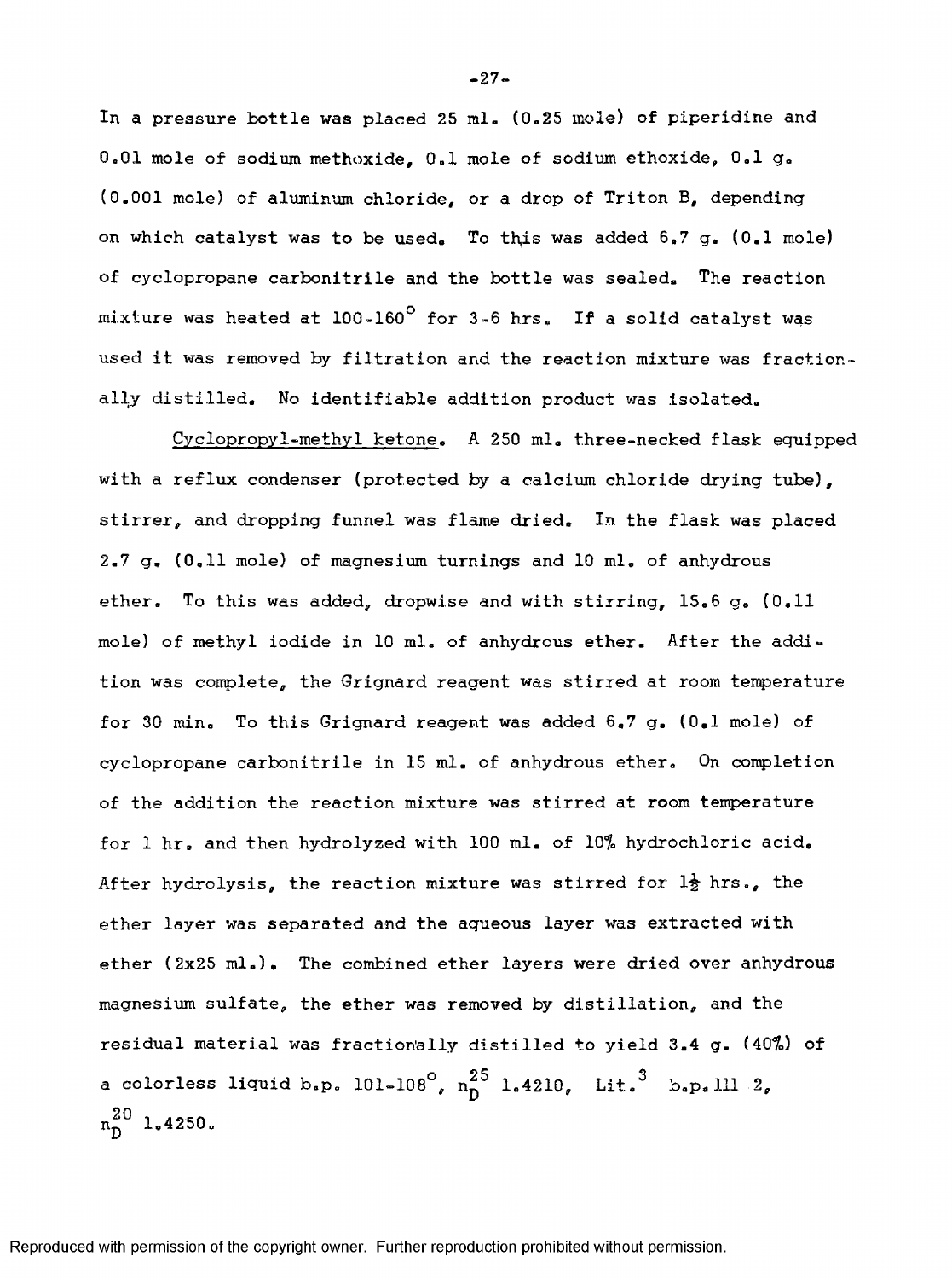In a pressure bottle was placed 25 ml. (0.25 mole) of piperidine and 0.01 mole of sodium methoxide, 0.1 mole of sodium ethoxide, 0,1 g. (0.001 mole) of aluminum chloride, or a drop of Triton B, depending on which catalyst was to be used. To this was added 6.7 g. (0.1 mole) of cyclopropane carbonitrile and the bottle was sealed. The reaction mixture was heated at 100-160° for 3-6 hrs. If a solid catalyst was used it was removed by filtration and the reaction mixture was fractionally distilled. No identifiable addition product was isolated,

Cyclopropyl-methyl ketone. A 250 ml. three-necked flask equipped with a reflux condenser (protected by a calcium chloride drying tube), stirrer, and dropping funnel was flame dried. In the flask was placed 2.7 g, (0,11 mole) of magnesium turnings and 10 ml, of anhydrous ether. To this was added, dropwise and with stirring, 15,6 g. (0.11 mole) of methyl iodide in 10 ml. of anhydrous ether. After the addition was complete, the Grignard reagent was stirred at room temperature for 30 min. To this Grignard reagent was added 6,7 g. (0,1 mole) of cyclopropane carbonltrile in 15 ml. of anhydrous ether. On completion of the addition the reaction mixture was stirred at room temperature for 1 hr, and then hydrolyzed with 100 ml. of 10% hydrochloric acid. After hydrolysis, the reaction mixture was stirred for *1^* hrs., the ether layer was separated and the aqueous layer was extracted with ether (2x25 ml.). The combined ether layers were dried over anhydrous magnesium sulfate, the ether was removed by distillation, and the residual material was fractionally distilled to yield 3.4 g. (40%) of a colorless liquid b.p. 101-108<sup>°</sup>,  $n^{25}_{D}$  1.4210, Lit.<sup>3</sup> b.p.111 2,  $n_0^{20}$  1.4250.

**.27.**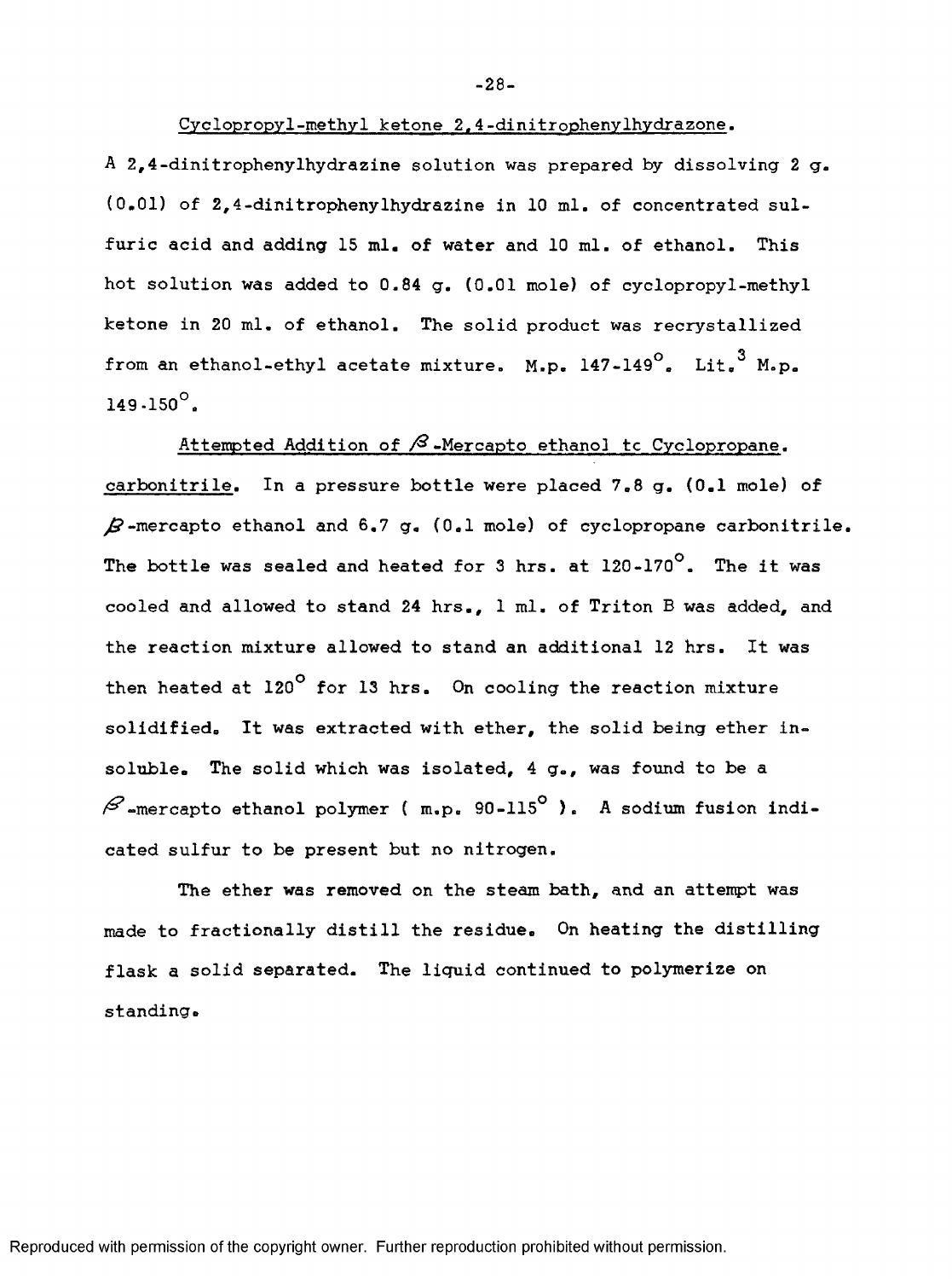## Cyclopropyl-methyl ketone 2.4-dinitrophenylhydrazone.

A 2,4-dinitrophenylhydrazine solution was prepared by dissolving 2  $g_a$ (0,01) of 2,4-dinitrophenylhydrazine in 10 ml. of concentrated sulfuric acid and adding 15 ml. of water and 10 ml. of ethanol. This hot solution was added to 0.84 g. (0.01 mole) of cyclopropyl-methyl ketone in 20 ml. of ethanol. The solid product was recrystallized from an ethanol-ethyl acetate mixture. M.p.  $147-149^\circ$ . Lit.<sup>3</sup> M.p.  $149.150^{\circ}$ .

Attempted Addition of  $\beta$ -Mercapto ethanol tc Cyclopropane. carbonitrile. In a pressure bottle were placed 7.8 g. (0.1 mole) of  $\beta$ -mercapto ethanol and 6.7 g. (0.1 mole) of cyclopropane carbonitrile. The bottle was sealed and heated for 3 hrs. at  $120-170^\circ$ . The it was cooled and allowed to stand 24 hrs., 1 ml. of Triton B was added, and the reaction mixture allowed to stand an additional 12 hrs. It was then heated at 120° for 13 hrs. On cooling the reaction mixture solidified. It was extracted with ether, the solid being ether insoluble. The solid which was isolated, 4 g., was found to be a  $\beta$ -mercapto ethanol polymer ( m.p. 90-115<sup>°</sup> ). A sodium fusion indicated sulfur to be present but no nitrogen.

The ether was removed on the steam bath, and an attempt was made to fractionally distill the residue. On heating the distilling flask a solid separated. The liquid continued to polymerize on standing.

Reproduced with permission of the copyright owner. Further reproduction prohibited without permission.

**-28-**